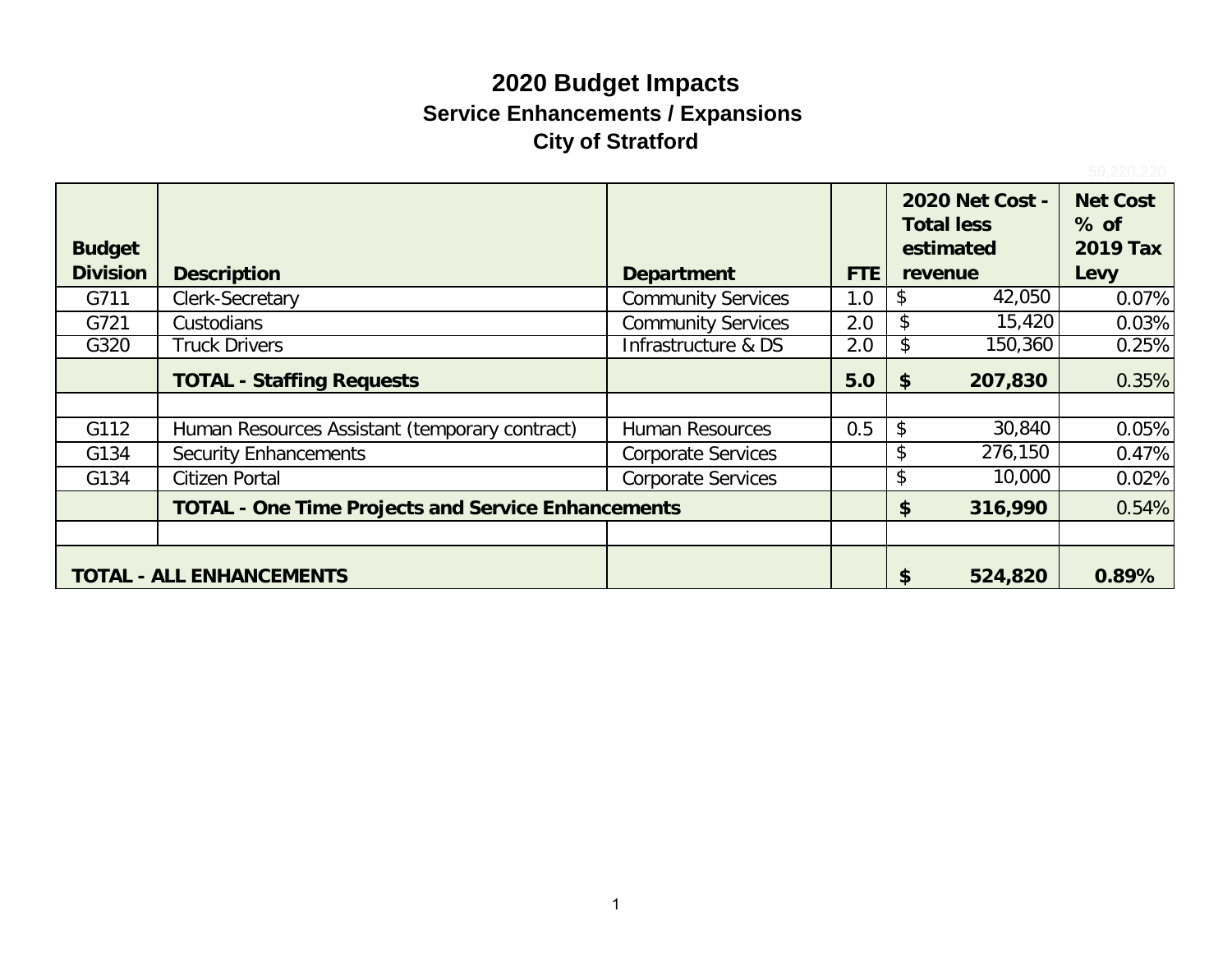# **2020 Budget Impacts Service Enhancements / Expansions City of Stratford**

|                 |                                                           |                           |     | <b>Total less</b> | <b>2020 Net Cost -</b> | <b>Net Cost</b><br>$%$ of |
|-----------------|-----------------------------------------------------------|---------------------------|-----|-------------------|------------------------|---------------------------|
| <b>Budget</b>   |                                                           |                           |     | estimated         |                        | <b>2019 Tax</b>           |
| <b>Division</b> | <b>Description</b>                                        | <b>Department</b>         | FTE | revenue           |                        | Levy                      |
| G711            | Clerk-Secretary                                           | <b>Community Services</b> | 1.0 |                   | 42,050                 | 0.07%                     |
| G721            | Custodians                                                | <b>Community Services</b> | 2.0 |                   | 15,420                 | 0.03%                     |
| G320            | <b>Truck Drivers</b>                                      | Infrastructure & DS       | 2.0 | P.                | 150,360                | 0.25%                     |
|                 | <b>TOTAL - Staffing Requests</b>                          |                           | 5.0 | - \$              | 207,830                | 0.35%                     |
|                 |                                                           |                           |     |                   |                        |                           |
| G112            | Human Resources Assistant (temporary contract)            | <b>Human Resources</b>    | 0.5 | \$                | 30,840                 | 0.05%                     |
| G134            | <b>Security Enhancements</b>                              | <b>Corporate Services</b> |     | \$                | 276,150                | 0.47%                     |
| G134            | <b>Citizen Portal</b>                                     | <b>Corporate Services</b> |     | \$                | 10,000                 | 0.02%                     |
|                 | <b>TOTAL - One Time Projects and Service Enhancements</b> |                           |     | \$                | 316,990                | 0.54%                     |
|                 |                                                           |                           |     |                   |                        |                           |
|                 | <b>TOTAL - ALL ENHANCEMENTS</b>                           |                           |     | \$                | 524,820                | 0.89%                     |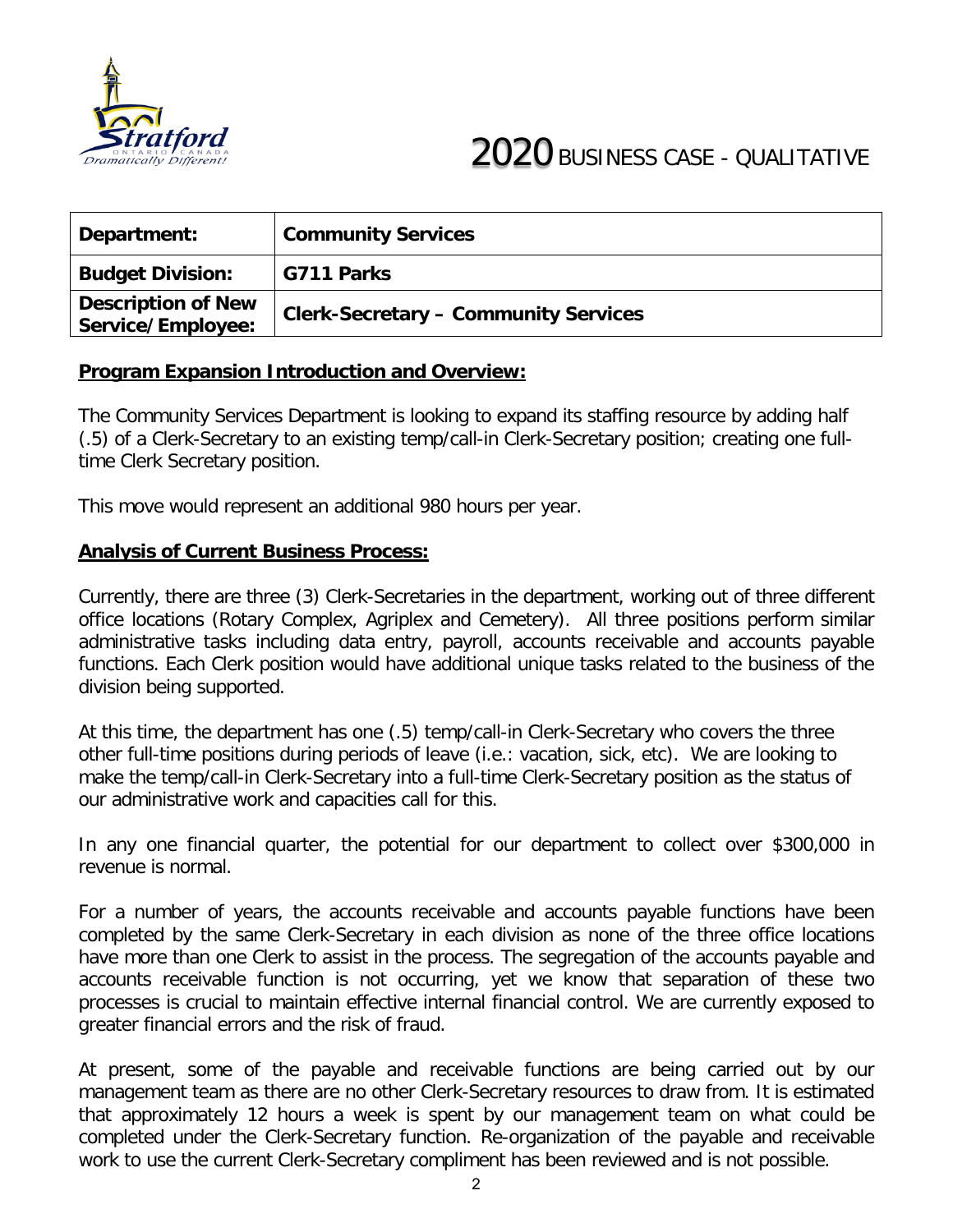

| Department:                                    | <b>Community Services</b>                   |
|------------------------------------------------|---------------------------------------------|
| <b>Budget Division:</b>                        | G711 Parks                                  |
| <b>Description of New</b><br>Service/Employee: | <b>Clerk-Secretary - Community Services</b> |

The Community Services Department is looking to expand its staffing resource by adding half (.5) of a Clerk-Secretary to an existing temp/call-in Clerk-Secretary position; creating one fulltime Clerk Secretary position.

This move would represent an additional 980 hours per year.

#### **Analysis of Current Business Process:**

Currently, there are three (3) Clerk-Secretaries in the department, working out of three different office locations (Rotary Complex, Agriplex and Cemetery). All three positions perform similar administrative tasks including data entry, payroll, accounts receivable and accounts payable functions. Each Clerk position would have additional unique tasks related to the business of the division being supported.

At this time, the department has one (.5) temp/call-in Clerk-Secretary who covers the three other full-time positions during periods of leave (i.e.: vacation, sick, etc). We are looking to make the temp/call-in Clerk-Secretary into a full-time Clerk-Secretary position as the status of our administrative work and capacities call for this.

In any one financial quarter, the potential for our department to collect over \$300,000 in revenue is normal.

For a number of years, the accounts receivable and accounts payable functions have been completed by the same Clerk-Secretary in each division as none of the three office locations have more than one Clerk to assist in the process. The segregation of the accounts payable and accounts receivable function is not occurring, yet we know that separation of these two processes is crucial to maintain effective internal financial control. We are currently exposed to greater financial errors and the risk of fraud.

At present, some of the payable and receivable functions are being carried out by our management team as there are no other Clerk-Secretary resources to draw from. It is estimated that approximately 12 hours a week is spent by our management team on what could be completed under the Clerk-Secretary function. Re-organization of the payable and receivable work to use the current Clerk-Secretary compliment has been reviewed and is not possible.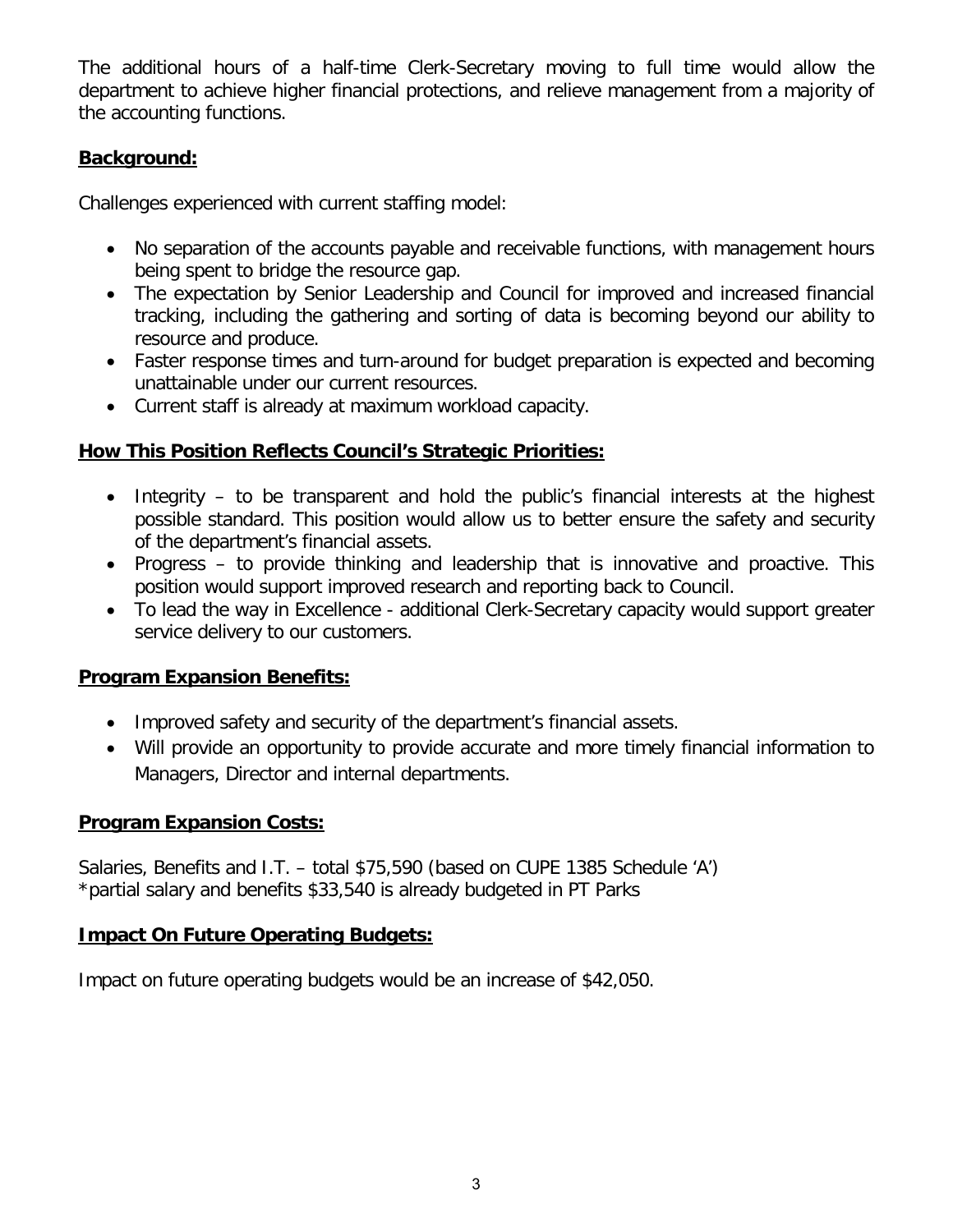The additional hours of a half-time Clerk-Secretary moving to full time would allow the department to achieve higher financial protections, and relieve management from a majority of the accounting functions.

#### **Background:**

Challenges experienced with current staffing model:

- No separation of the accounts payable and receivable functions, with management hours being spent to bridge the resource gap.
- The expectation by Senior Leadership and Council for improved and increased financial tracking, including the gathering and sorting of data is becoming beyond our ability to resource and produce.
- Faster response times and turn-around for budget preparation is expected and becoming unattainable under our current resources.
- Current staff is already at maximum workload capacity.

#### **How This Position Reflects Council's Strategic Priorities:**

- Integrity to be transparent and hold the public's financial interests at the highest possible standard. This position would allow us to better ensure the safety and security of the department's financial assets.
- Progress to provide thinking and leadership that is innovative and proactive. This position would support improved research and reporting back to Council.
- To lead the way in Excellence additional Clerk-Secretary capacity would support greater service delivery to our customers.

#### **Program Expansion Benefits:**

- Improved safety and security of the department's financial assets.
- Will provide an opportunity to provide accurate and more timely financial information to Managers, Director and internal departments.

#### **Program Expansion Costs:**

Salaries, Benefits and I.T. – total \$75,590 (based on CUPE 1385 Schedule 'A') \*partial salary and benefits \$33,540 is already budgeted in PT Parks

#### **Impact On Future Operating Budgets:**

Impact on future operating budgets would be an increase of \$42,050.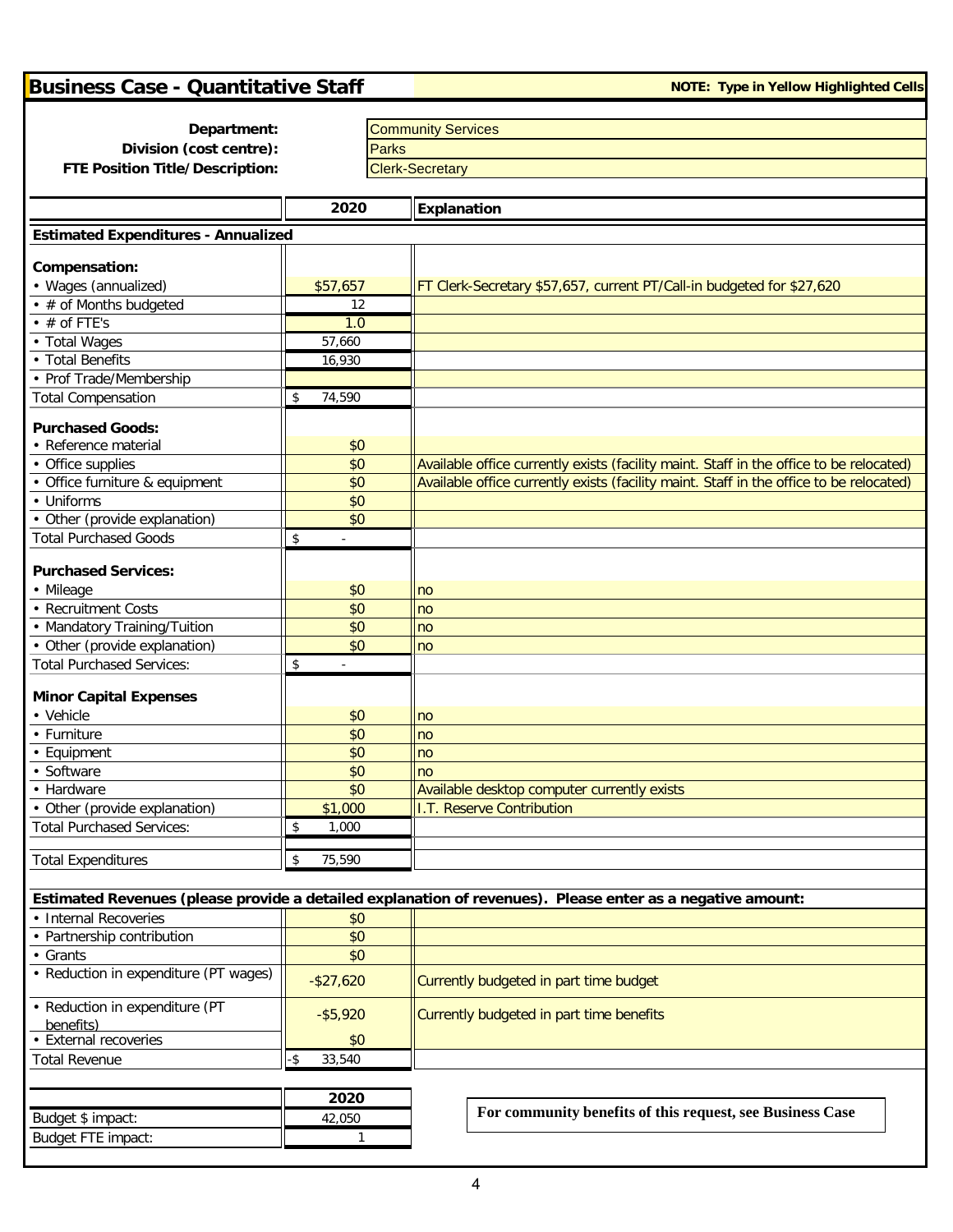| <b>Business Case - Quantitative Staff</b>  |               |              | <b>NOTE: Type in Yellow Highlighted Cells</b>                                                              |
|--------------------------------------------|---------------|--------------|------------------------------------------------------------------------------------------------------------|
|                                            |               |              |                                                                                                            |
| Department:                                |               |              | <b>Community Services</b>                                                                                  |
| Division (cost centre):                    |               | <b>Parks</b> |                                                                                                            |
| FTE Position Title/Description:            |               |              | <b>Clerk-Secretary</b>                                                                                     |
|                                            |               |              |                                                                                                            |
|                                            | 2020          |              | Explanation                                                                                                |
| <b>Estimated Expenditures - Annualized</b> |               |              |                                                                                                            |
| Compensation:                              |               |              |                                                                                                            |
| • Wages (annualized)                       | \$57,657      |              | FT Clerk-Secretary \$57,657, current PT/Call-in budgeted for \$27,620                                      |
| • # of Months budgeted                     | 12            |              |                                                                                                            |
| $\cdot$ # of FTE's                         | 1.0           |              |                                                                                                            |
| • Total Wages                              | 57,660        |              |                                                                                                            |
| • Total Benefits                           | 16,930        |              |                                                                                                            |
| • Prof Trade/Membership                    |               |              |                                                                                                            |
| <b>Total Compensation</b>                  | 74,590<br>\$  |              |                                                                                                            |
|                                            |               |              |                                                                                                            |
| <b>Purchased Goods:</b>                    |               |              |                                                                                                            |
| • Reference material                       | \$0           |              |                                                                                                            |
| • Office supplies                          | \$0           |              | Available office currently exists (facility maint. Staff in the office to be relocated)                    |
| • Office furniture & equipment             | \$0           |              | Available office currently exists (facility maint. Staff in the office to be relocated)                    |
| • Uniforms                                 | \$0           |              |                                                                                                            |
| • Other (provide explanation)              | \$0           |              |                                                                                                            |
| <b>Total Purchased Goods</b>               | \$            |              |                                                                                                            |
| <b>Purchased Services:</b>                 |               |              |                                                                                                            |
|                                            |               |              |                                                                                                            |
| • Mileage<br><b>Recruitment Costs</b>      | \$0<br>\$0    |              | no                                                                                                         |
| Mandatory Training/Tuition                 | \$0           |              | no                                                                                                         |
| • Other (provide explanation)              | \$0           |              | no<br>no                                                                                                   |
| <b>Total Purchased Services:</b>           | \$            |              |                                                                                                            |
|                                            |               |              |                                                                                                            |
| <b>Minor Capital Expenses</b>              |               |              |                                                                                                            |
| • Vehicle                                  | \$0           |              | no                                                                                                         |
| • Furniture                                | \$0           |              | no                                                                                                         |
| • Equipment                                | \$0           |              | no                                                                                                         |
| Software                                   | \$0           |              | no                                                                                                         |
| • Hardware                                 | \$0           |              | Available desktop computer currently exists                                                                |
| • Other (provide explanation)              | \$1,000       |              | <b>I.T. Reserve Contribution</b>                                                                           |
| <b>Total Purchased Services:</b>           | \$<br>1,000   |              |                                                                                                            |
|                                            |               |              |                                                                                                            |
| <b>Total Expenditures</b>                  | 75,590<br>\$  |              |                                                                                                            |
|                                            |               |              | Estimated Revenues (please provide a detailed explanation of revenues). Please enter as a negative amount: |
| • Internal Recoveries                      | \$0           |              |                                                                                                            |
| • Partnership contribution                 | \$0           |              |                                                                                                            |
| • Grants                                   | \$0           |              |                                                                                                            |
| • Reduction in expenditure (PT wages)      |               |              |                                                                                                            |
|                                            | $-$ \$27,620  |              | Currently budgeted in part time budget                                                                     |
| • Reduction in expenditure (PT             | $- $5,920$    |              | Currently budgeted in part time benefits                                                                   |
| benefits)                                  |               |              |                                                                                                            |
| • External recoveries                      | \$0           |              |                                                                                                            |
| <b>Total Revenue</b>                       | 33,540<br>-\$ |              |                                                                                                            |
|                                            |               |              |                                                                                                            |
|                                            | 2020          |              | For community benefits of this request, see Business Case                                                  |
| Budget \$ impact:                          | 42,050        |              |                                                                                                            |
| Budget FTE impact:                         |               |              |                                                                                                            |
|                                            |               |              |                                                                                                            |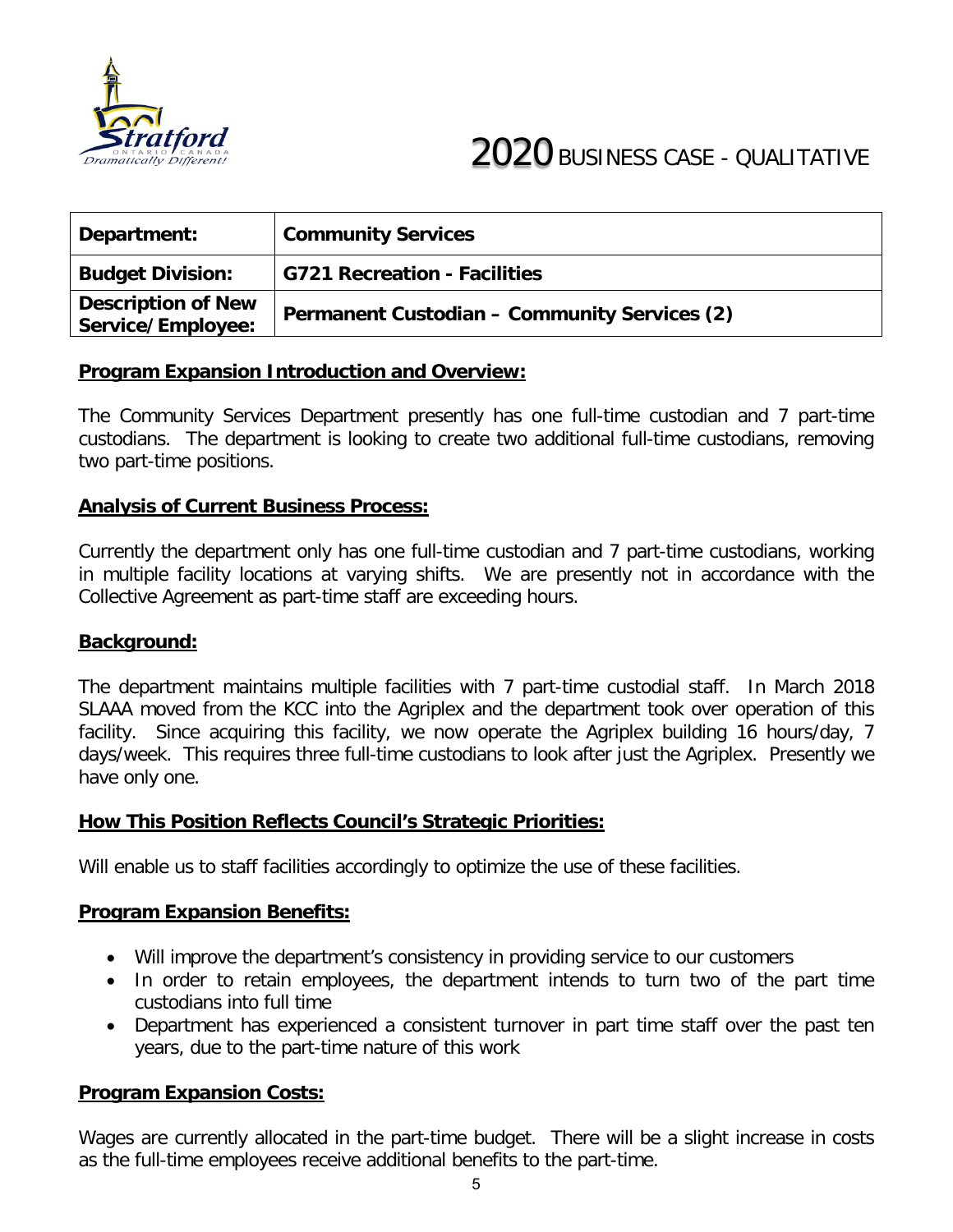

| Department:                                    | <b>Community Services</b>                           |
|------------------------------------------------|-----------------------------------------------------|
| <b>Budget Division:</b>                        | G721 Recreation - Facilities                        |
| <b>Description of New</b><br>Service/Employee: | <b>Permanent Custodian - Community Services (2)</b> |

The Community Services Department presently has one full-time custodian and 7 part-time custodians. The department is looking to create two additional full-time custodians, removing two part-time positions.

#### **Analysis of Current Business Process:**

Currently the department only has one full-time custodian and 7 part-time custodians, working in multiple facility locations at varying shifts. We are presently not in accordance with the Collective Agreement as part-time staff are exceeding hours.

#### **Background:**

The department maintains multiple facilities with 7 part-time custodial staff. In March 2018 SLAAA moved from the KCC into the Agriplex and the department took over operation of this facility. Since acquiring this facility, we now operate the Agriplex building 16 hours/day, 7 days/week. This requires three full-time custodians to look after just the Agriplex. Presently we have only one.

#### **How This Position Reflects Council's Strategic Priorities:**

Will enable us to staff facilities accordingly to optimize the use of these facilities.

#### **Program Expansion Benefits:**

- Will improve the department's consistency in providing service to our customers
- In order to retain employees, the department intends to turn two of the part time custodians into full time
- Department has experienced a consistent turnover in part time staff over the past ten years, due to the part-time nature of this work

#### **Program Expansion Costs:**

Wages are currently allocated in the part-time budget. There will be a slight increase in costs as the full-time employees receive additional benefits to the part-time.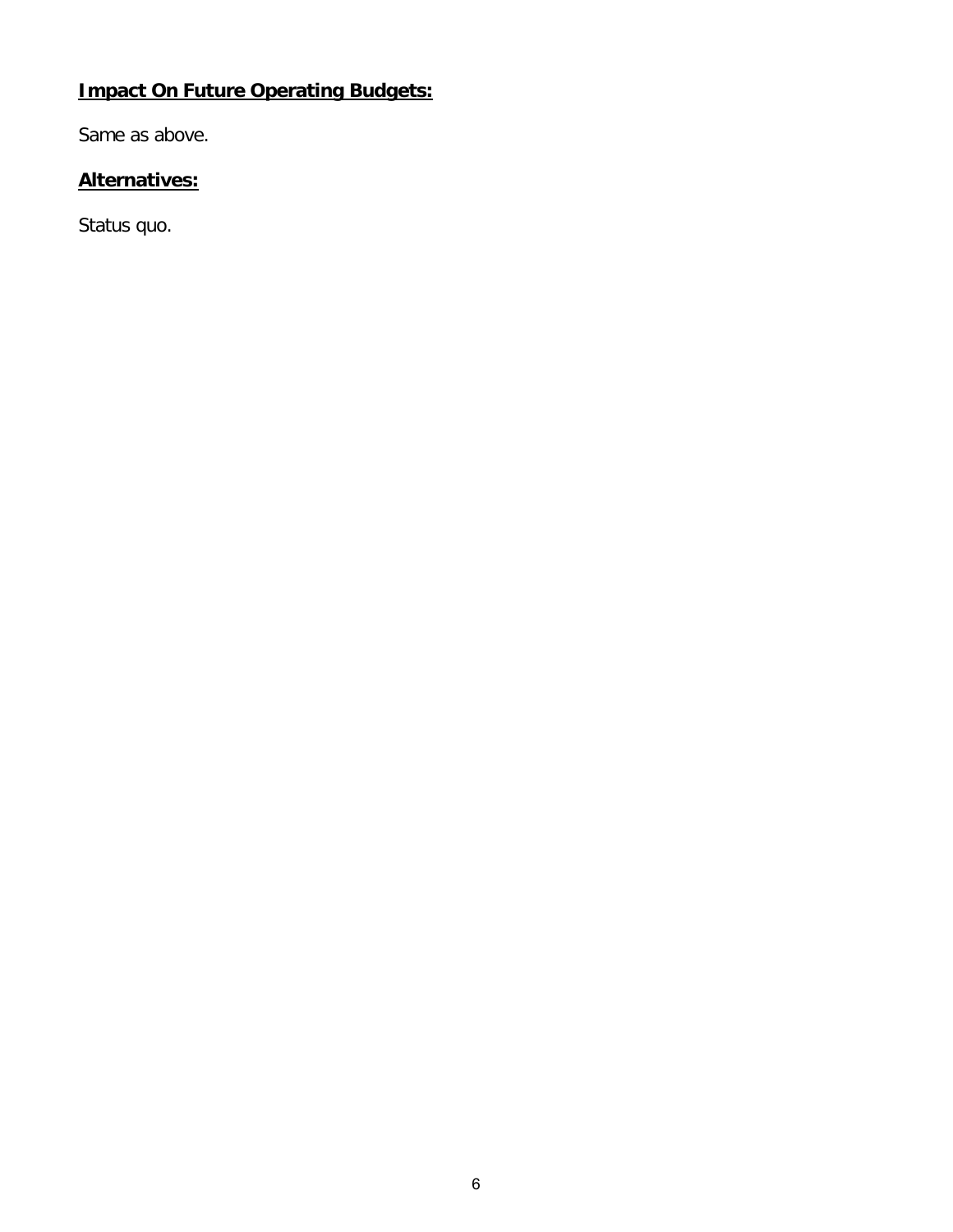# **Impact On Future Operating Budgets:**

Same as above.

# **Alternatives:**

Status quo.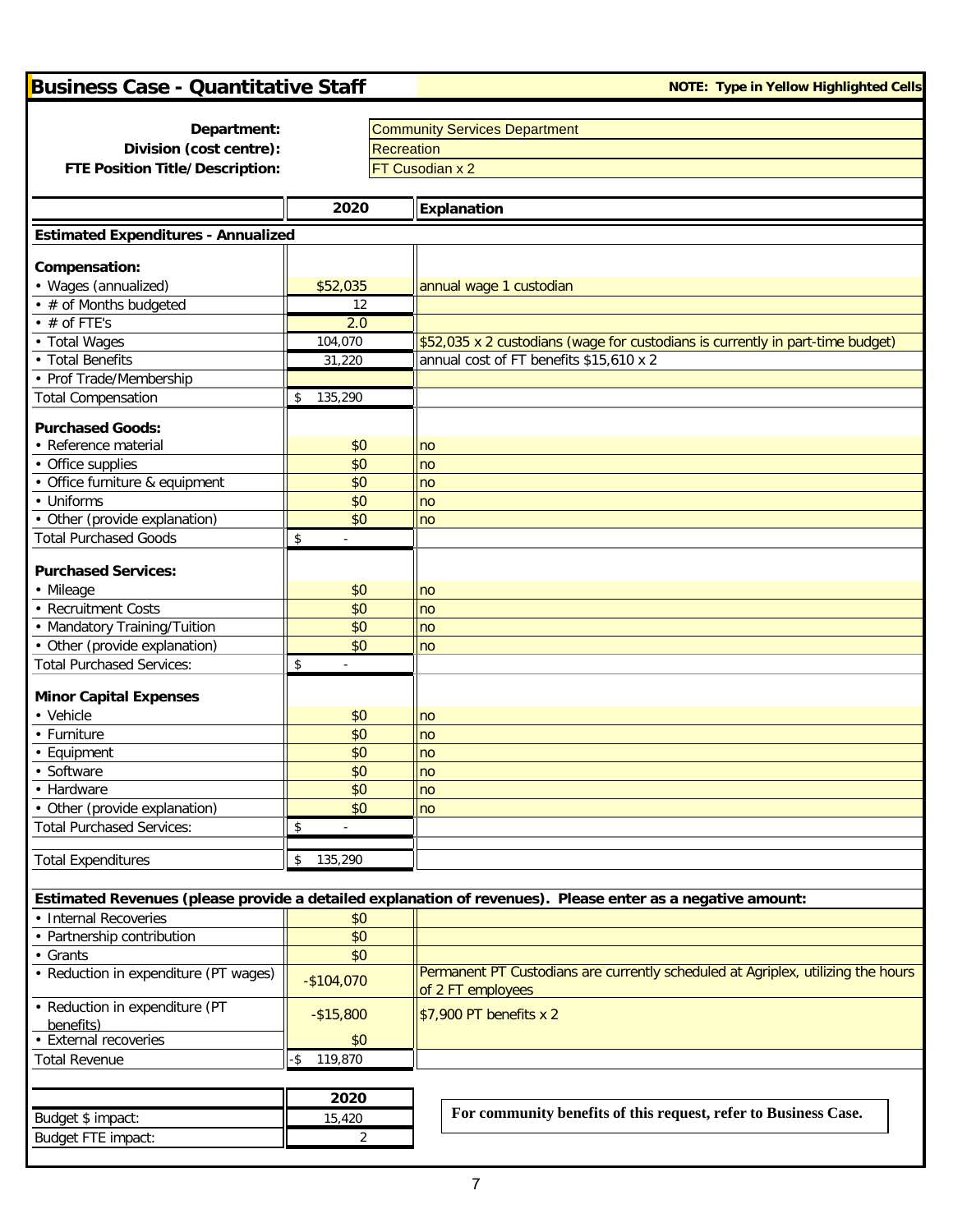| <b>Business Case - Quantitative Staff</b>           |                | <b>NOTE: Type in Yellow Highlighted Cells</b>                                                              |  |  |  |  |
|-----------------------------------------------------|----------------|------------------------------------------------------------------------------------------------------------|--|--|--|--|
|                                                     |                |                                                                                                            |  |  |  |  |
| Department:                                         |                | <b>Community Services Department</b>                                                                       |  |  |  |  |
| Division (cost centre):<br>Recreation               |                |                                                                                                            |  |  |  |  |
| FTE Position Title/Description:                     |                | FT Cusodian x 2                                                                                            |  |  |  |  |
|                                                     | 2020           | <b>Explanation</b>                                                                                         |  |  |  |  |
|                                                     |                |                                                                                                            |  |  |  |  |
| <b>Estimated Expenditures - Annualized</b>          |                |                                                                                                            |  |  |  |  |
| Compensation:                                       |                |                                                                                                            |  |  |  |  |
| • Wages (annualized)                                | \$52,035       | annual wage 1 custodian                                                                                    |  |  |  |  |
| • # of Months budgeted                              | 12             |                                                                                                            |  |  |  |  |
| $\cdot$ # of FTE's                                  | 2.0            |                                                                                                            |  |  |  |  |
| • Total Wages                                       | 104,070        | \$52,035 x 2 custodians (wage for custodians is currently in part-time budget)                             |  |  |  |  |
| • Total Benefits                                    | 31,220         | annual cost of FT benefits \$15,610 x 2                                                                    |  |  |  |  |
| • Prof Trade/Membership                             |                |                                                                                                            |  |  |  |  |
| <b>Total Compensation</b>                           | 135,290<br>\$  |                                                                                                            |  |  |  |  |
| <b>Purchased Goods:</b>                             |                |                                                                                                            |  |  |  |  |
| • Reference material                                | \$0            | no                                                                                                         |  |  |  |  |
| • Office supplies                                   | \$0            | no                                                                                                         |  |  |  |  |
| • Office furniture & equipment                      | \$0            | no                                                                                                         |  |  |  |  |
| • Uniforms                                          | \$0            | no                                                                                                         |  |  |  |  |
| • Other (provide explanation)                       | \$0            | no                                                                                                         |  |  |  |  |
| <b>Total Purchased Goods</b>                        | \$             |                                                                                                            |  |  |  |  |
| <b>Purchased Services:</b>                          |                |                                                                                                            |  |  |  |  |
| • Mileage                                           | \$0            | no                                                                                                         |  |  |  |  |
| • Recruitment Costs                                 | \$0            | no                                                                                                         |  |  |  |  |
| • Mandatory Training/Tuition                        | \$0            | no                                                                                                         |  |  |  |  |
| • Other (provide explanation)                       | \$0            | no                                                                                                         |  |  |  |  |
| <b>Total Purchased Services:</b>                    | \$             |                                                                                                            |  |  |  |  |
|                                                     |                |                                                                                                            |  |  |  |  |
| <b>Minor Capital Expenses</b>                       |                |                                                                                                            |  |  |  |  |
| • Vehicle                                           | \$0            | no                                                                                                         |  |  |  |  |
| • Furniture                                         | \$0<br>\$0     | no                                                                                                         |  |  |  |  |
| • Equipment                                         |                | no                                                                                                         |  |  |  |  |
| • Software<br>• Hardware                            | \$0<br>\$0     | no<br>no                                                                                                   |  |  |  |  |
| • Other (provide explanation)                       | \$0            | no                                                                                                         |  |  |  |  |
| <b>Total Purchased Services:</b>                    | \$             |                                                                                                            |  |  |  |  |
|                                                     |                |                                                                                                            |  |  |  |  |
| <b>Total Expenditures</b>                           | 135,290<br>\$  |                                                                                                            |  |  |  |  |
|                                                     |                |                                                                                                            |  |  |  |  |
|                                                     |                | Estimated Revenues (please provide a detailed explanation of revenues). Please enter as a negative amount: |  |  |  |  |
| • Internal Recoveries<br>• Partnership contribution | \$0            |                                                                                                            |  |  |  |  |
| • Grants                                            | \$0<br>\$0     |                                                                                                            |  |  |  |  |
| • Reduction in expenditure (PT wages)               |                | Permanent PT Custodians are currently scheduled at Agriplex, utilizing the hours                           |  |  |  |  |
|                                                     | $-$104,070$    | of 2 FT employees                                                                                          |  |  |  |  |
| • Reduction in expenditure (PT                      | $-$15,800$     | \$7,900 PT benefits x 2                                                                                    |  |  |  |  |
| benefits)                                           |                |                                                                                                            |  |  |  |  |
| • External recoveries                               | \$0            |                                                                                                            |  |  |  |  |
| <b>Total Revenue</b>                                | 119,870<br>-\$ |                                                                                                            |  |  |  |  |
|                                                     |                |                                                                                                            |  |  |  |  |
|                                                     | 2020           | For community benefits of this request, refer to Business Case.                                            |  |  |  |  |
| Budget \$ impact:                                   | 15,420         |                                                                                                            |  |  |  |  |
| Budget FTE impact:                                  | 2              |                                                                                                            |  |  |  |  |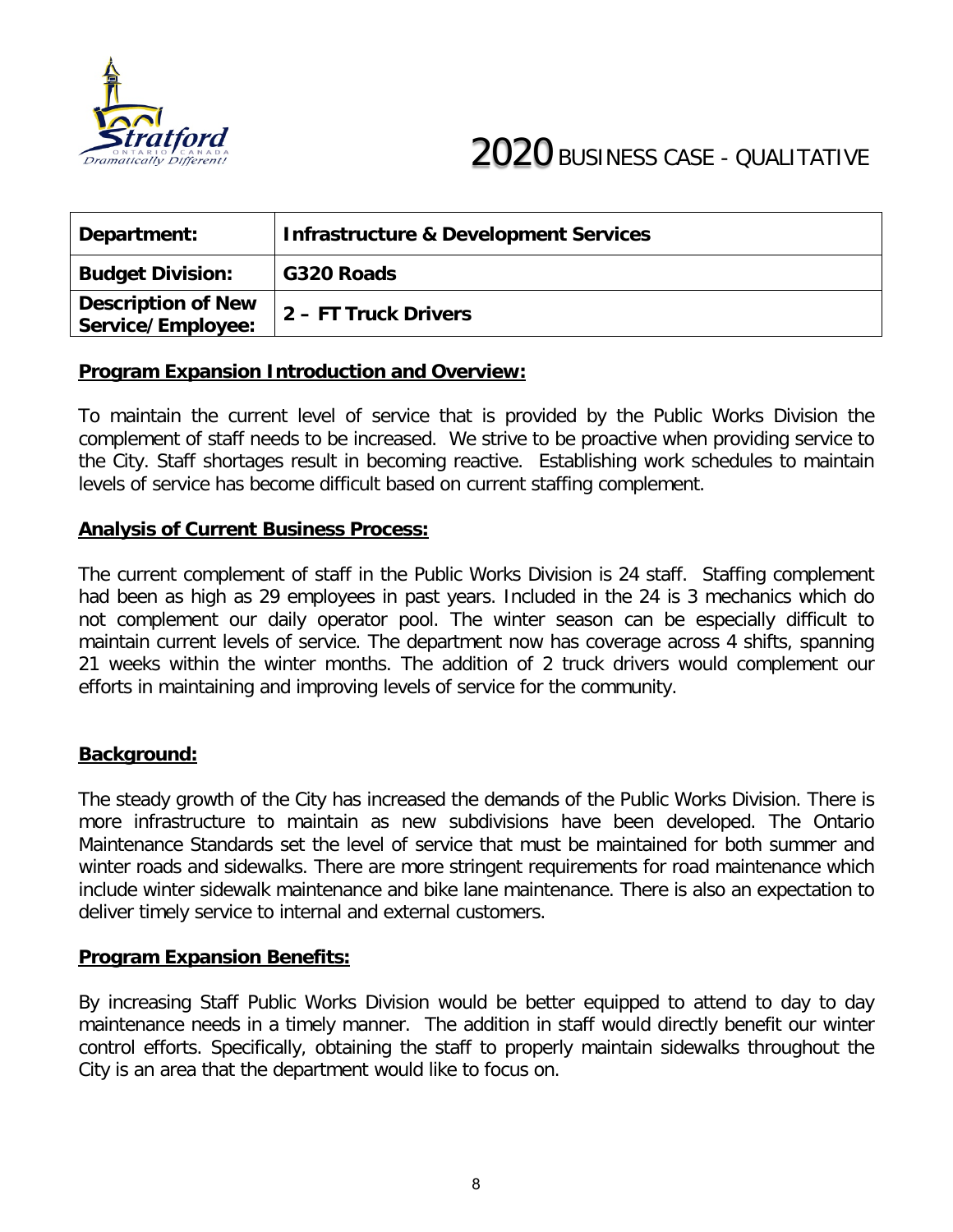

| Department:                                    | <b>Infrastructure &amp; Development Services</b> |
|------------------------------------------------|--------------------------------------------------|
| <b>Budget Division:</b>                        | G320 Roads                                       |
| <b>Description of New</b><br>Service/Employee: | 2 – FT Truck Drivers                             |

To maintain the current level of service that is provided by the Public Works Division the complement of staff needs to be increased. We strive to be proactive when providing service to the City. Staff shortages result in becoming reactive. Establishing work schedules to maintain levels of service has become difficult based on current staffing complement.

#### **Analysis of Current Business Process:**

The current complement of staff in the Public Works Division is 24 staff. Staffing complement had been as high as 29 employees in past years. Included in the 24 is 3 mechanics which do not complement our daily operator pool. The winter season can be especially difficult to maintain current levels of service. The department now has coverage across 4 shifts, spanning 21 weeks within the winter months. The addition of 2 truck drivers would complement our efforts in maintaining and improving levels of service for the community.

#### **Background:**

The steady growth of the City has increased the demands of the Public Works Division. There is more infrastructure to maintain as new subdivisions have been developed. The Ontario Maintenance Standards set the level of service that must be maintained for both summer and winter roads and sidewalks. There are more stringent requirements for road maintenance which include winter sidewalk maintenance and bike lane maintenance. There is also an expectation to deliver timely service to internal and external customers.

#### **Program Expansion Benefits:**

By increasing Staff Public Works Division would be better equipped to attend to day to day maintenance needs in a timely manner. The addition in staff would directly benefit our winter control efforts. Specifically, obtaining the staff to properly maintain sidewalks throughout the City is an area that the department would like to focus on.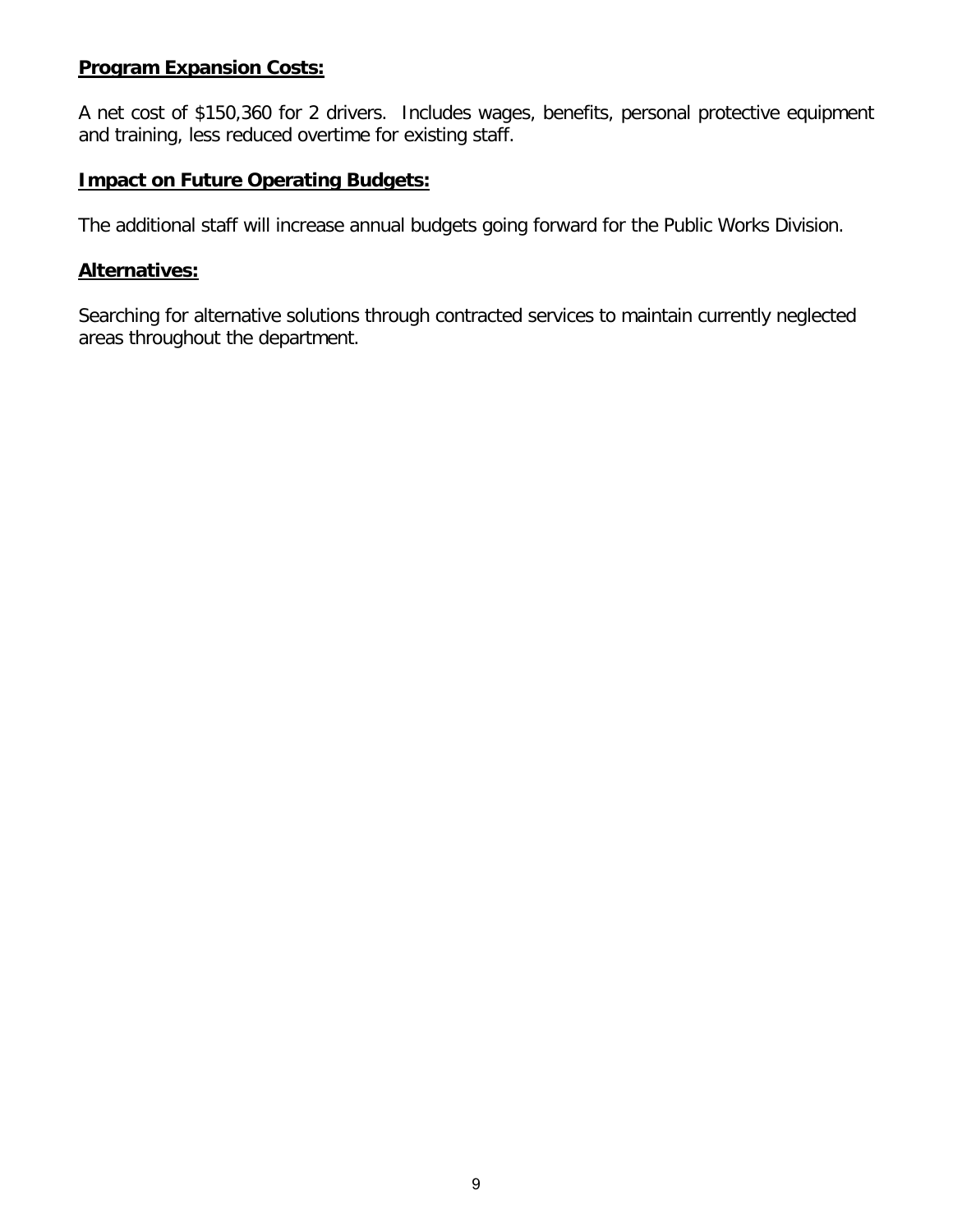#### **Program Expansion Costs:**

A net cost of \$150,360 for 2 drivers. Includes wages, benefits, personal protective equipment and training, less reduced overtime for existing staff.

#### **Impact on Future Operating Budgets:**

The additional staff will increase annual budgets going forward for the Public Works Division.

#### **Alternatives:**

Searching for alternative solutions through contracted services to maintain currently neglected areas throughout the department.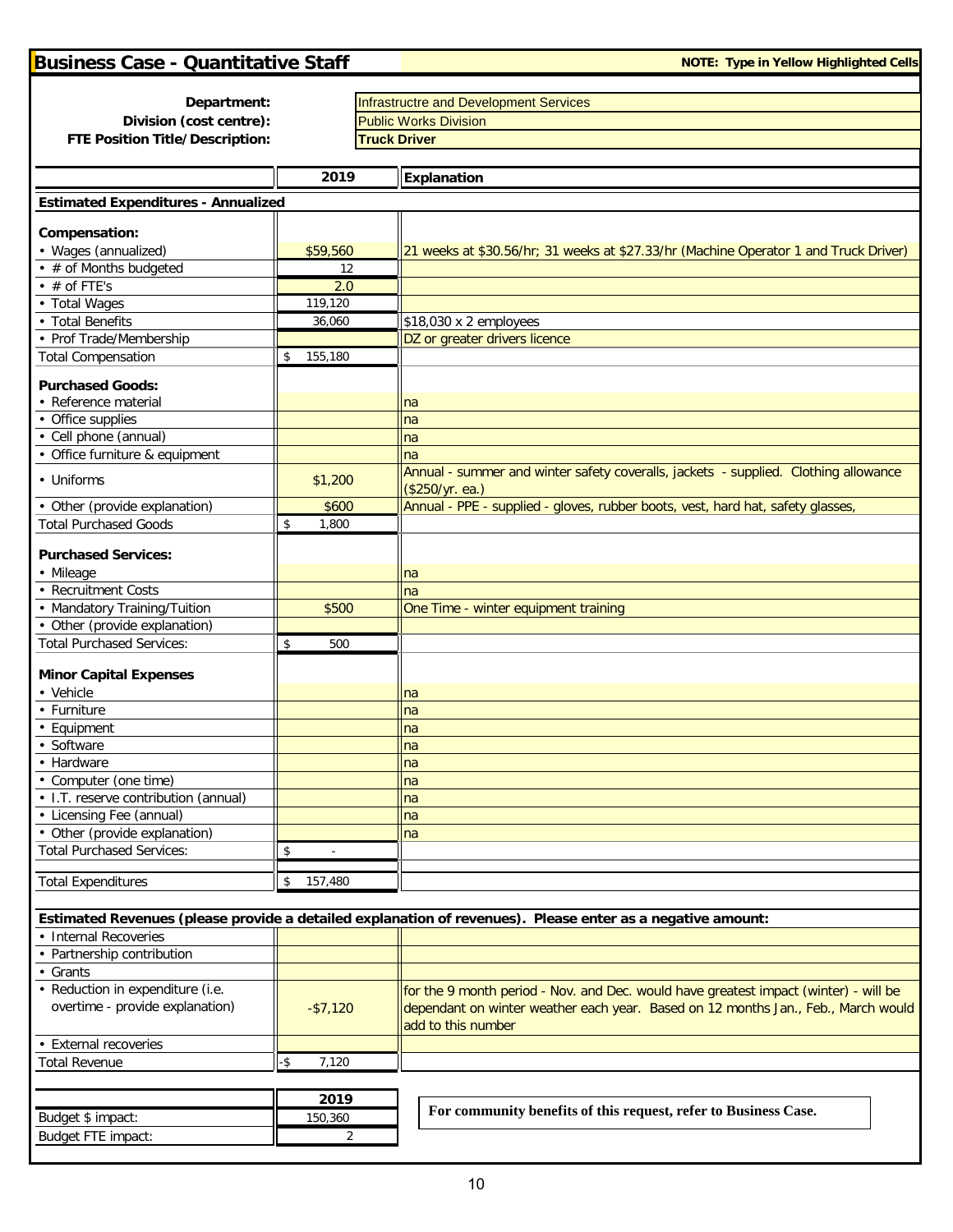Budget FTE impact: 2

| <b>Business Case - Quantitative Staff</b>      |                | <b>NOTE: Type in Yellow Highlighted Cells</b>                                                              |
|------------------------------------------------|----------------|------------------------------------------------------------------------------------------------------------|
|                                                |                |                                                                                                            |
| Department:<br>Division (cost centre):         |                | <b>Infrastructre and Development Services</b><br><b>Public Works Division</b>                              |
| FTE Position Title/Description:                |                | <b>Truck Driver</b>                                                                                        |
|                                                |                |                                                                                                            |
|                                                | 2019           | Explanation                                                                                                |
| <b>Estimated Expenditures - Annualized</b>     |                |                                                                                                            |
|                                                |                |                                                                                                            |
| Compensation:                                  |                |                                                                                                            |
| • Wages (annualized)<br>• # of Months budgeted | \$59,560<br>12 | 21 weeks at \$30.56/hr; 31 weeks at \$27.33/hr (Machine Operator 1 and Truck Driver)                       |
| $\cdot$ # of FTE's                             | 2.0            |                                                                                                            |
| • Total Wages                                  | 119,120        |                                                                                                            |
| • Total Benefits                               | 36,060         | \$18,030 x 2 employees                                                                                     |
| • Prof Trade/Membership                        |                | DZ or greater drivers licence                                                                              |
| <b>Total Compensation</b>                      | 155,180<br>\$  |                                                                                                            |
| <b>Purchased Goods:</b>                        |                |                                                                                                            |
| • Reference material                           |                | na                                                                                                         |
| • Office supplies                              |                | na                                                                                                         |
| • Cell phone (annual)                          |                | na                                                                                                         |
| • Office furniture & equipment                 |                | na                                                                                                         |
| • Uniforms                                     | \$1,200        | Annual - summer and winter safety coveralls, jackets - supplied. Clothing allowance<br>(\$250/yr. ea.)     |
| • Other (provide explanation)                  | \$600          | Annual - PPE - supplied - gloves, rubber boots, vest, hard hat, safety glasses,                            |
| <b>Total Purchased Goods</b>                   | \$<br>1,800    |                                                                                                            |
| <b>Purchased Services:</b>                     |                |                                                                                                            |
| • Mileage                                      |                | na                                                                                                         |
| • Recruitment Costs                            |                | na                                                                                                         |
| • Mandatory Training/Tuition                   | \$500          | One Time - winter equipment training                                                                       |
| • Other (provide explanation)                  |                |                                                                                                            |
| <b>Total Purchased Services:</b>               | 500<br>\$      |                                                                                                            |
|                                                |                |                                                                                                            |
| <b>Minor Capital Expenses</b><br>• Vehicle     |                | na                                                                                                         |
| • Furniture                                    |                | na                                                                                                         |
| • Equipment                                    |                | na                                                                                                         |
| • Software                                     |                | na                                                                                                         |
| • Hardware                                     |                | na                                                                                                         |
| • Computer (one time)                          |                | na                                                                                                         |
| • I.T. reserve contribution (annual)           |                | na                                                                                                         |
| • Licensing Fee (annual)                       |                | na                                                                                                         |
| • Other (provide explanation)                  |                | na                                                                                                         |
| <b>Total Purchased Services:</b>               | \$             |                                                                                                            |
| <b>Total Expenditures</b>                      | 157,480<br>\$  |                                                                                                            |
|                                                |                |                                                                                                            |
| • Internal Recoveries                          |                | Estimated Revenues (please provide a detailed explanation of revenues). Please enter as a negative amount: |
| • Partnership contribution                     |                |                                                                                                            |
| • Grants                                       |                |                                                                                                            |
| • Reduction in expenditure (i.e.               |                | for the 9 month period - Nov. and Dec. would have greatest impact (winter) - will be                       |
| overtime - provide explanation)                | $-$7,120$      | dependant on winter weather each year. Based on 12 months Jan., Feb., March would<br>add to this number    |
| • External recoveries                          |                |                                                                                                            |
| <b>Total Revenue</b>                           | -\$<br>7,120   |                                                                                                            |
|                                                |                |                                                                                                            |
|                                                | 2019           |                                                                                                            |
| Budget \$ impact:                              | 150,360        | For community benefits of this request, refer to Business Case.                                            |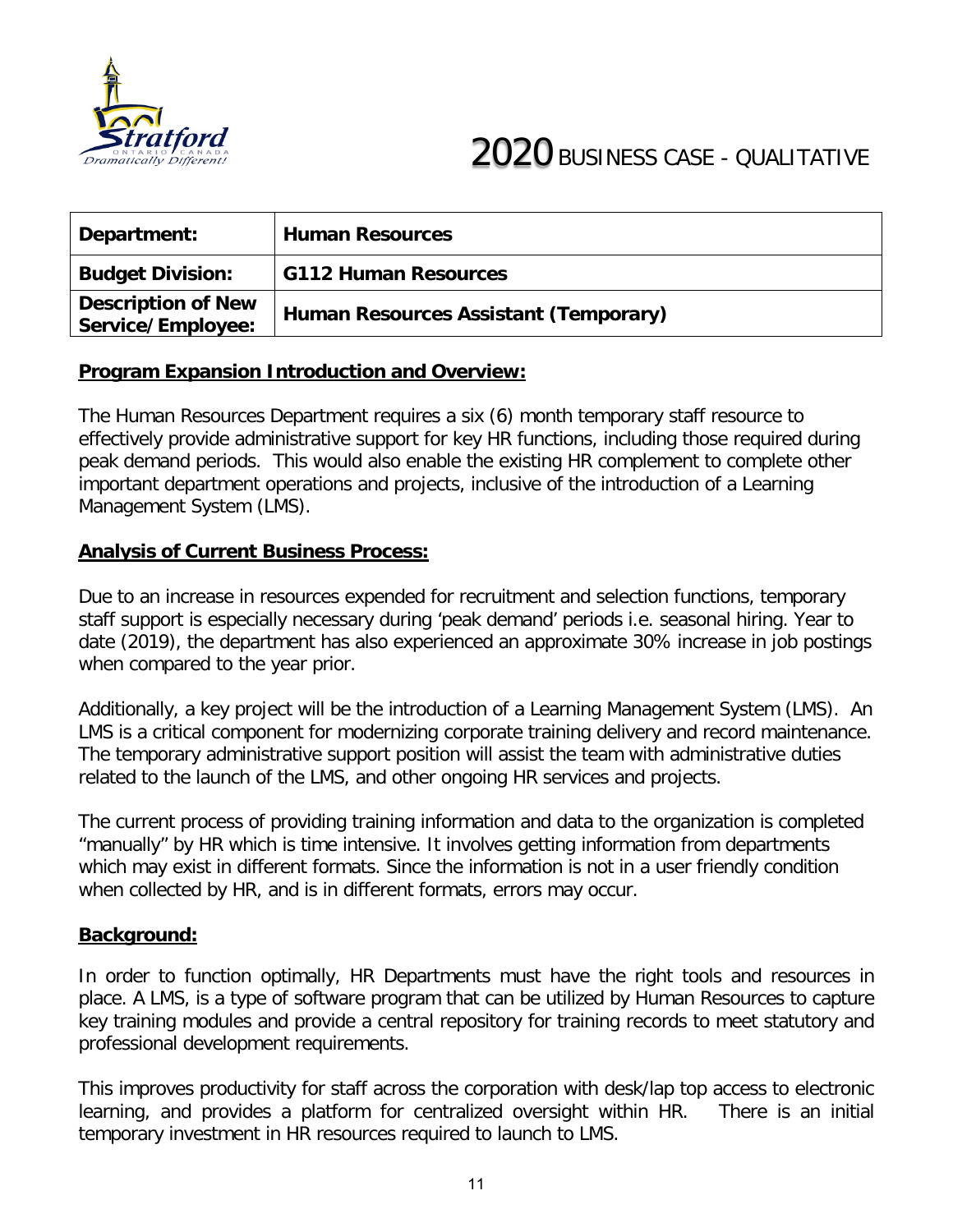

| Department:                                    | <b>Human Resources</b>                |
|------------------------------------------------|---------------------------------------|
| <b>Budget Division:</b>                        | <b>G112 Human Resources</b>           |
| <b>Description of New</b><br>Service/Employee: | Human Resources Assistant (Temporary) |

The Human Resources Department requires a six (6) month temporary staff resource to effectively provide administrative support for key HR functions, including those required during peak demand periods. This would also enable the existing HR complement to complete other important department operations and projects, inclusive of the introduction of a Learning Management System (LMS).

#### **Analysis of Current Business Process:**

Due to an increase in resources expended for recruitment and selection functions, temporary staff support is especially necessary during 'peak demand' periods i.e. seasonal hiring. Year to date (2019), the department has also experienced an approximate 30% increase in job postings when compared to the year prior.

Additionally, a key project will be the introduction of a Learning Management System (LMS). An LMS is a critical component for modernizing corporate training delivery and record maintenance. The temporary administrative support position will assist the team with administrative duties related to the launch of the LMS, and other ongoing HR services and projects.

The current process of providing training information and data to the organization is completed "manually" by HR which is time intensive. It involves getting information from departments which may exist in different formats. Since the information is not in a user friendly condition when collected by HR, and is in different formats, errors may occur.

#### **Background:**

In order to function optimally, HR Departments must have the right tools and resources in place. A LMS, is a type of software program that can be utilized by Human Resources to capture key training modules and provide a central repository for training records to meet statutory and professional development requirements.

This improves productivity for staff across the corporation with desk/lap top access to electronic learning, and provides a platform for centralized oversight within HR. There is an initial temporary investment in HR resources required to launch to LMS.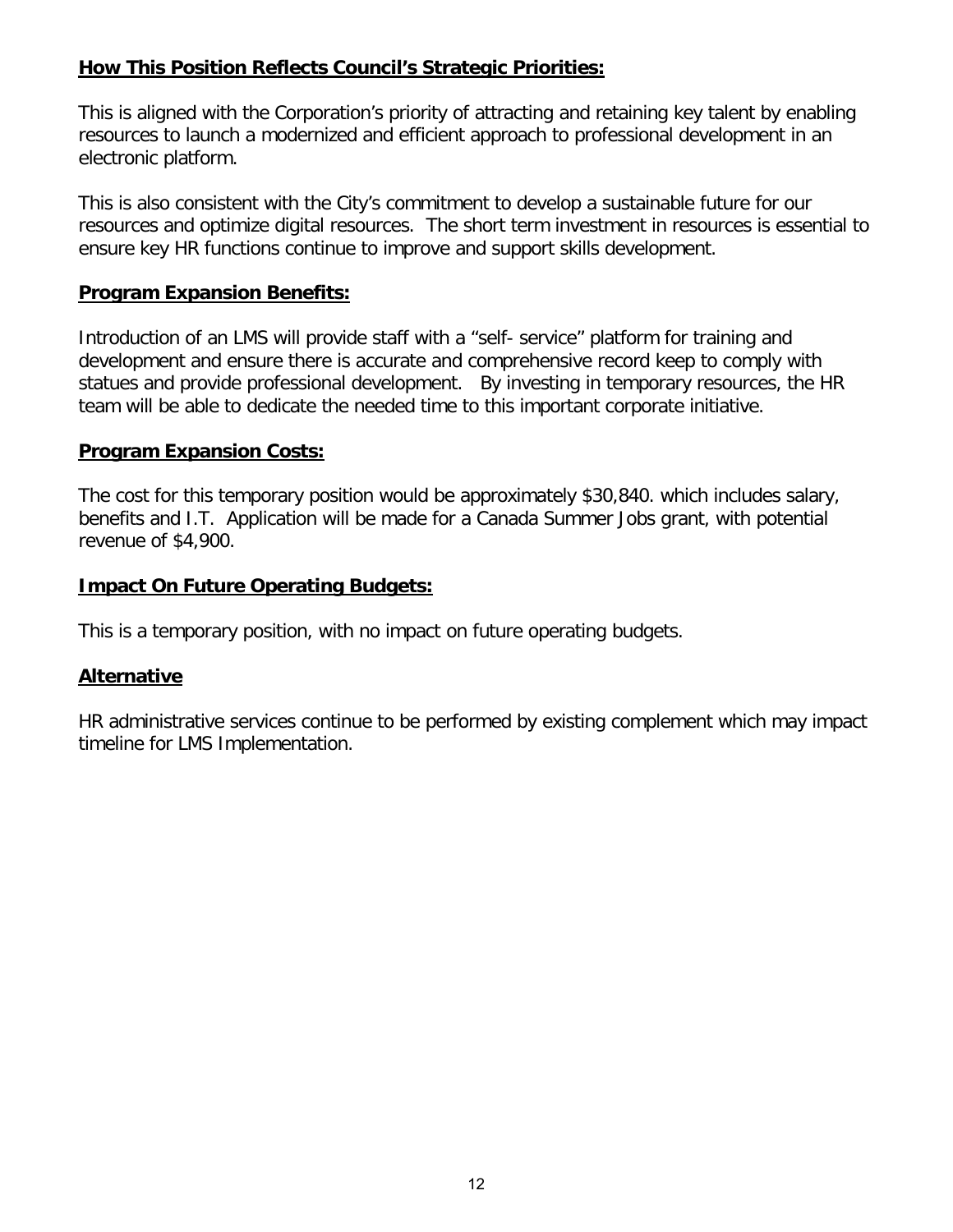#### **How This Position Reflects Council's Strategic Priorities:**

This is aligned with the Corporation's priority of attracting and retaining key talent by enabling resources to launch a modernized and efficient approach to professional development in an electronic platform.

This is also consistent with the City's commitment to develop a sustainable future for our resources and optimize digital resources. The short term investment in resources is essential to ensure key HR functions continue to improve and support skills development.

#### **Program Expansion Benefits:**

Introduction of an LMS will provide staff with a "self- service" platform for training and development and ensure there is accurate and comprehensive record keep to comply with statues and provide professional development. By investing in temporary resources, the HR team will be able to dedicate the needed time to this important corporate initiative.

#### **Program Expansion Costs:**

The cost for this temporary position would be approximately \$30,840. which includes salary, benefits and I.T. Application will be made for a Canada Summer Jobs grant, with potential revenue of \$4,900.

#### **Impact On Future Operating Budgets:**

This is a temporary position, with no impact on future operating budgets.

#### **Alternative**

HR administrative services continue to be performed by existing complement which may impact timeline for LMS Implementation.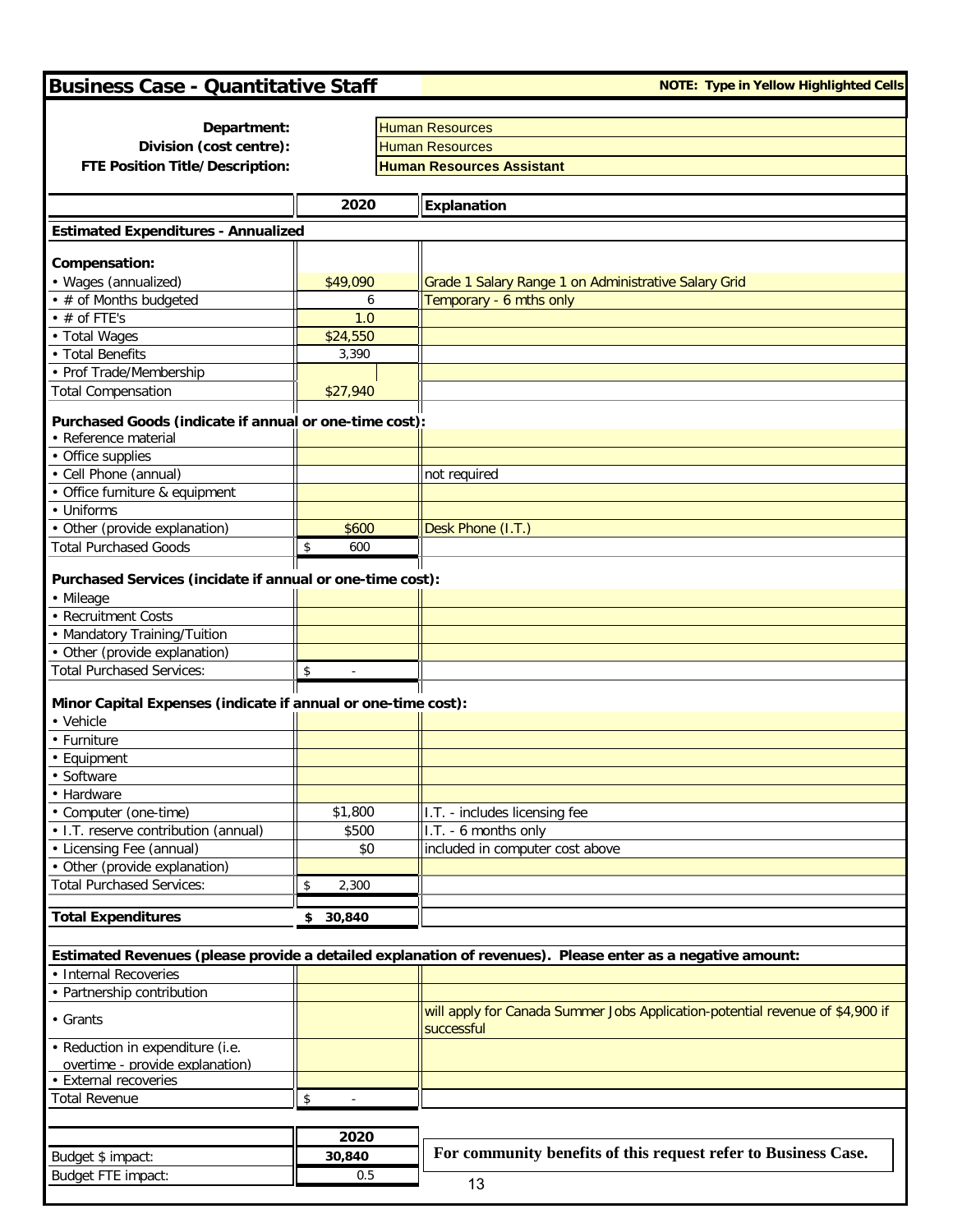# **Business Case - Quantitative Staff Note: Type in Yellow Highlighted Cells**

| Department:                                                   |                                         | <b>Human Resources</b>                                                                                     |  |  |
|---------------------------------------------------------------|-----------------------------------------|------------------------------------------------------------------------------------------------------------|--|--|
| Division (cost centre):                                       |                                         | <b>Human Resources</b>                                                                                     |  |  |
| FTE Position Title/Description:                               |                                         | <b>Human Resources Assistant</b>                                                                           |  |  |
|                                                               |                                         |                                                                                                            |  |  |
|                                                               | 2020                                    | Explanation                                                                                                |  |  |
| <b>Estimated Expenditures - Annualized</b>                    |                                         |                                                                                                            |  |  |
|                                                               |                                         |                                                                                                            |  |  |
| Compensation:                                                 |                                         |                                                                                                            |  |  |
| • Wages (annualized)                                          | \$49,090                                | Grade 1 Salary Range 1 on Administrative Salary Grid                                                       |  |  |
| • # of Months budgeted                                        | 6                                       | Temporary - 6 mths only                                                                                    |  |  |
| $\cdot$ # of FTE's                                            | 1.0                                     |                                                                                                            |  |  |
| • Total Wages                                                 | \$24,550                                |                                                                                                            |  |  |
| • Total Benefits                                              | 3,390                                   |                                                                                                            |  |  |
| • Prof Trade/Membership                                       |                                         |                                                                                                            |  |  |
| <b>Total Compensation</b>                                     | \$27,940                                |                                                                                                            |  |  |
| Purchased Goods (indicate if annual or one-time cost):        |                                         |                                                                                                            |  |  |
| • Reference material                                          |                                         |                                                                                                            |  |  |
| • Office supplies                                             |                                         |                                                                                                            |  |  |
| • Cell Phone (annual)                                         |                                         | not required                                                                                               |  |  |
| • Office furniture & equipment                                |                                         |                                                                                                            |  |  |
| • Uniforms                                                    |                                         |                                                                                                            |  |  |
| • Other (provide explanation)                                 | \$600                                   | Desk Phone (I.T.)                                                                                          |  |  |
| <b>Total Purchased Goods</b>                                  | $\sqrt[6]{\frac{1}{2}}$<br>600          |                                                                                                            |  |  |
|                                                               |                                         |                                                                                                            |  |  |
| Purchased Services (incidate if annual or one-time cost):     |                                         |                                                                                                            |  |  |
| • Mileage                                                     |                                         |                                                                                                            |  |  |
| • Recruitment Costs                                           |                                         |                                                                                                            |  |  |
| • Mandatory Training/Tuition                                  |                                         |                                                                                                            |  |  |
| • Other (provide explanation)                                 |                                         |                                                                                                            |  |  |
|                                                               |                                         |                                                                                                            |  |  |
| <b>Total Purchased Services:</b>                              | $\sqrt[6]{\frac{1}{2}}$<br>$\mathbf{r}$ |                                                                                                            |  |  |
| Minor Capital Expenses (indicate if annual or one-time cost): |                                         |                                                                                                            |  |  |
| • Vehicle                                                     |                                         |                                                                                                            |  |  |
| • Furniture                                                   |                                         |                                                                                                            |  |  |
| • Equipment                                                   |                                         |                                                                                                            |  |  |
| · Software                                                    |                                         |                                                                                                            |  |  |
|                                                               |                                         |                                                                                                            |  |  |
| • Hardware                                                    |                                         |                                                                                                            |  |  |
| • Computer (one-time)                                         | \$1,800                                 | I.T. - includes licensing fee                                                                              |  |  |
| • I.T. reserve contribution (annual)                          | \$500                                   | I.T. - 6 months only                                                                                       |  |  |
| • Licensing Fee (annual)                                      | \$0                                     | included in computer cost above                                                                            |  |  |
| • Other (provide explanation)                                 |                                         |                                                                                                            |  |  |
| <b>Total Purchased Services:</b>                              | $\sqrt[6]{\frac{1}{2}}$<br>2,300        |                                                                                                            |  |  |
|                                                               |                                         |                                                                                                            |  |  |
| <b>Total Expenditures</b>                                     | \$30,840                                |                                                                                                            |  |  |
|                                                               |                                         |                                                                                                            |  |  |
|                                                               |                                         | Estimated Revenues (please provide a detailed explanation of revenues). Please enter as a negative amount: |  |  |
| • Internal Recoveries                                         |                                         |                                                                                                            |  |  |
| • Partnership contribution                                    |                                         |                                                                                                            |  |  |
| • Grants                                                      |                                         | will apply for Canada Summer Jobs Application-potential revenue of \$4,900 if<br>successful                |  |  |
| • Reduction in expenditure (i.e.                              |                                         |                                                                                                            |  |  |
| overtime - provide explanation)                               |                                         |                                                                                                            |  |  |
| • External recoveries                                         |                                         |                                                                                                            |  |  |
| <b>Total Revenue</b>                                          | \$                                      |                                                                                                            |  |  |
|                                                               |                                         |                                                                                                            |  |  |
|                                                               |                                         |                                                                                                            |  |  |
|                                                               | 2020                                    | For community benefits of this request refer to Business Case.                                             |  |  |
| Budget \$ impact:                                             | 30,840                                  |                                                                                                            |  |  |
| Budget FTE impact:                                            | 0.5                                     | 13                                                                                                         |  |  |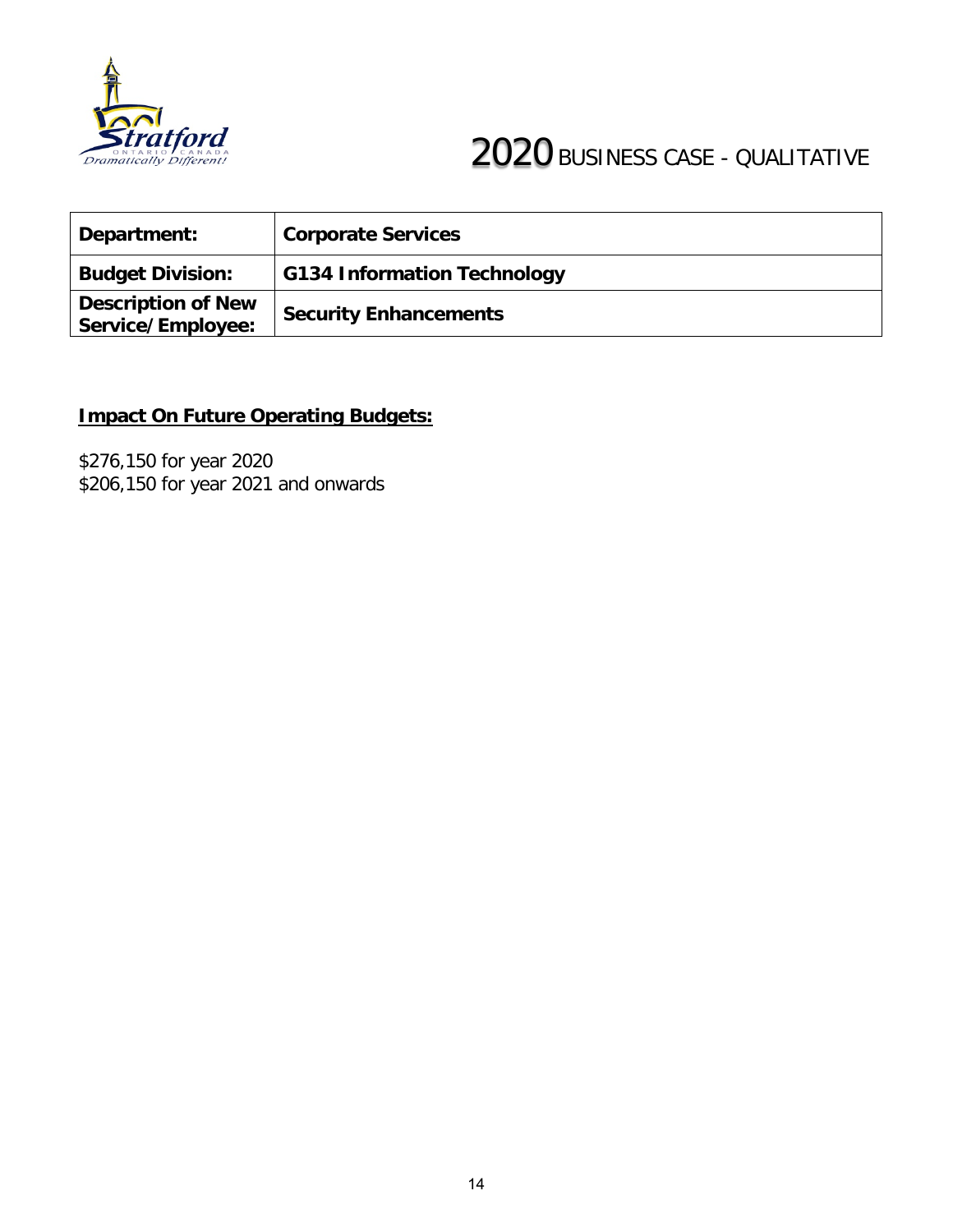

# **Fratford**<br>Teally Different

| Department:                                    | <b>Corporate Services</b>          |
|------------------------------------------------|------------------------------------|
| <b>Budget Division:</b>                        | <b>G134 Information Technology</b> |
| <b>Description of New</b><br>Service/Employee: | <b>Security Enhancements</b>       |

# **Impact On Future Operating Budgets:**

\$276,150 for year 2020 \$206,150 for year 2021 and onwards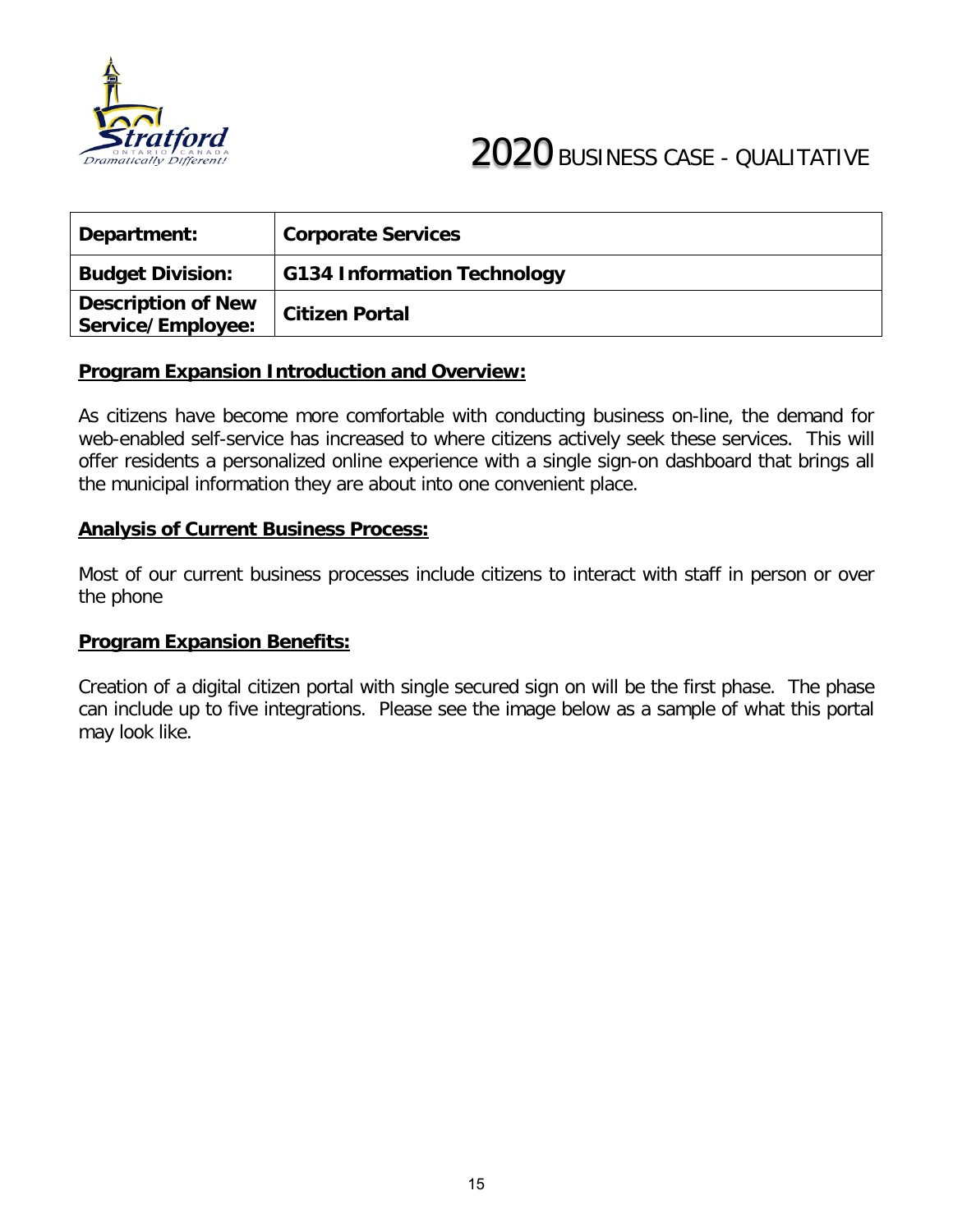

| Department:                                    | <b>Corporate Services</b>          |
|------------------------------------------------|------------------------------------|
| <b>Budget Division:</b>                        | <b>G134 Information Technology</b> |
| <b>Description of New</b><br>Service/Employee: | <b>Citizen Portal</b>              |

As citizens have become more comfortable with conducting business on-line, the demand for web-enabled self-service has increased to where citizens actively seek these services. This will offer residents a personalized online experience with a single sign-on dashboard that brings all the municipal information they are about into one convenient place.

#### **Analysis of Current Business Process:**

Most of our current business processes include citizens to interact with staff in person or over the phone

#### **Program Expansion Benefits:**

Creation of a digital citizen portal with single secured sign on will be the first phase. The phase can include up to five integrations. Please see the image below as a sample of what this portal may look like.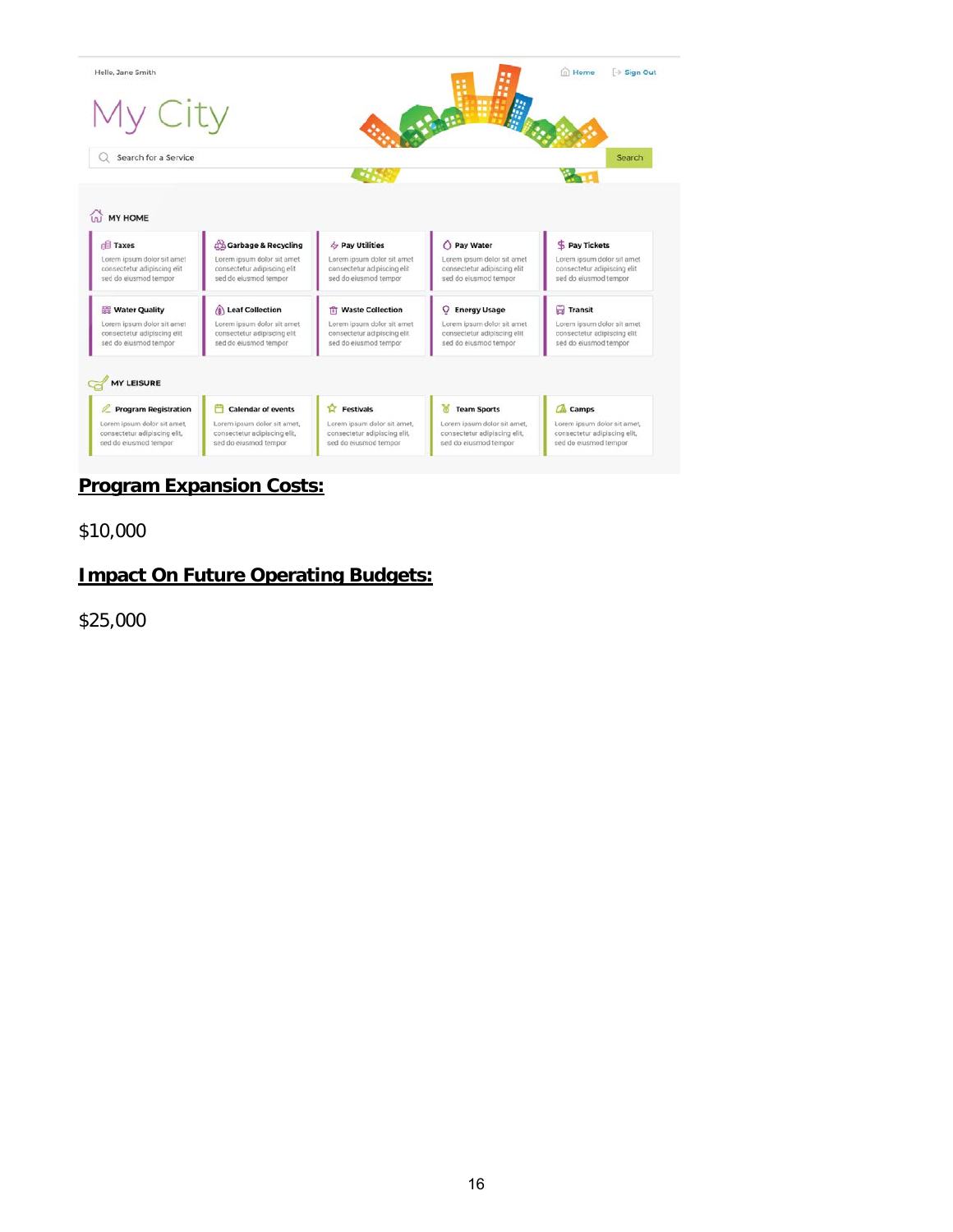

# **Program Expansion Costs:**

\$10,000

### **Impact On Future Operating Budgets:**

\$25,000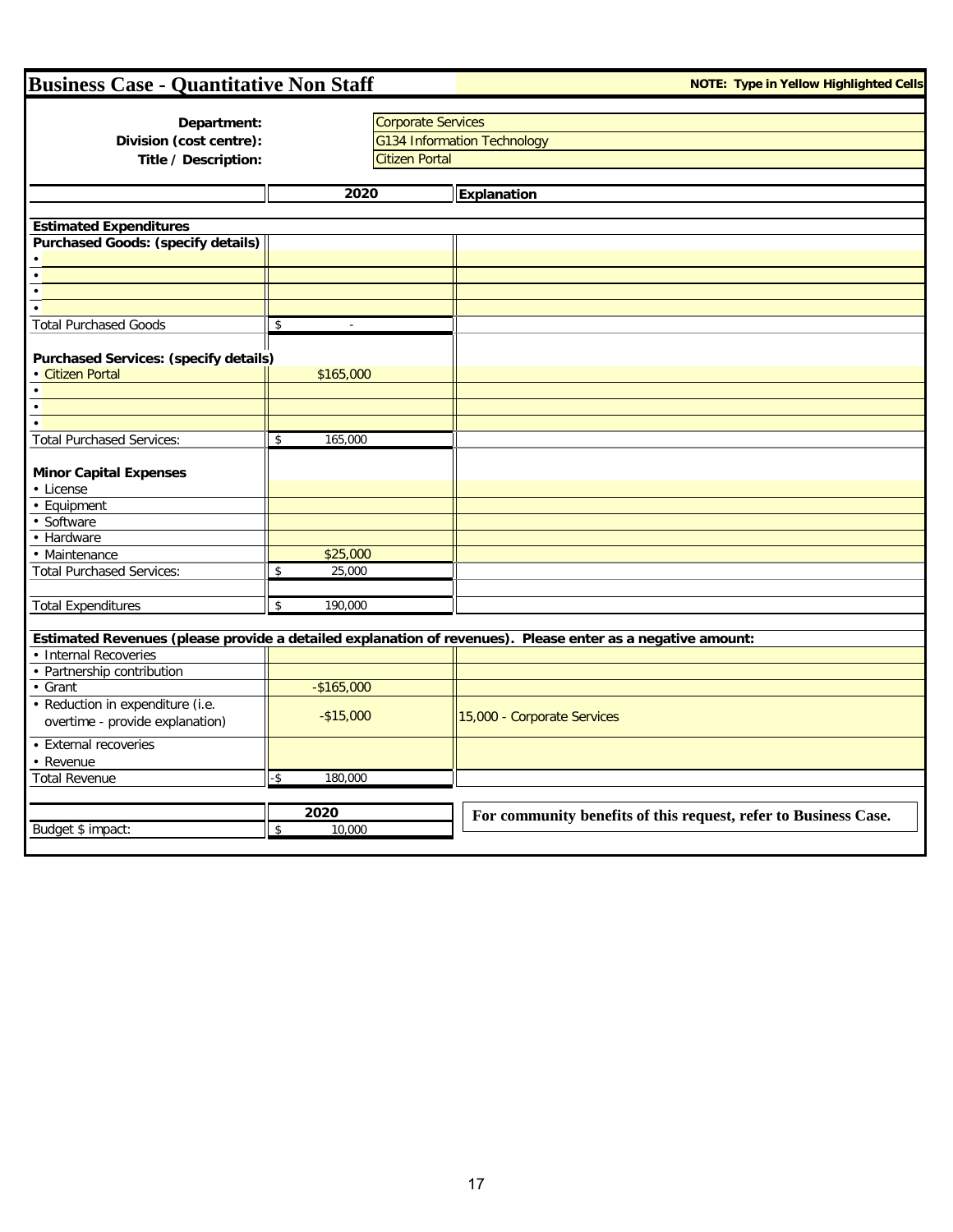| <b>Business Case - Quantitative Non Staff</b><br><b>NOTE: Type in Yellow Highlighted Cells</b> |                           |                           |                                                                                                            |  |  |
|------------------------------------------------------------------------------------------------|---------------------------|---------------------------|------------------------------------------------------------------------------------------------------------|--|--|
|                                                                                                |                           |                           |                                                                                                            |  |  |
| Department:                                                                                    |                           | <b>Corporate Services</b> |                                                                                                            |  |  |
| Division (cost centre):                                                                        |                           |                           | <b>G134 Information Technology</b>                                                                         |  |  |
| Title / Description:                                                                           |                           | <b>Citizen Portal</b>     |                                                                                                            |  |  |
|                                                                                                |                           |                           |                                                                                                            |  |  |
|                                                                                                | 2020                      |                           | Explanation                                                                                                |  |  |
|                                                                                                |                           |                           |                                                                                                            |  |  |
| <b>Estimated Expenditures</b>                                                                  |                           |                           |                                                                                                            |  |  |
| <b>Purchased Goods: (specify details)</b>                                                      |                           |                           |                                                                                                            |  |  |
|                                                                                                |                           |                           |                                                                                                            |  |  |
|                                                                                                |                           |                           |                                                                                                            |  |  |
|                                                                                                |                           |                           |                                                                                                            |  |  |
|                                                                                                |                           |                           |                                                                                                            |  |  |
| <b>Total Purchased Goods</b>                                                                   | \$<br>$\sim$              |                           |                                                                                                            |  |  |
| <b>Purchased Services: (specify details)</b>                                                   |                           |                           |                                                                                                            |  |  |
| · Citizen Portal                                                                               | \$165,000                 |                           |                                                                                                            |  |  |
|                                                                                                |                           |                           |                                                                                                            |  |  |
|                                                                                                |                           |                           |                                                                                                            |  |  |
|                                                                                                |                           |                           |                                                                                                            |  |  |
| <b>Total Purchased Services:</b>                                                               | 165,000<br>$\mathfrak{S}$ |                           |                                                                                                            |  |  |
|                                                                                                |                           |                           |                                                                                                            |  |  |
| <b>Minor Capital Expenses</b>                                                                  |                           |                           |                                                                                                            |  |  |
| • License                                                                                      |                           |                           |                                                                                                            |  |  |
| • Equipment                                                                                    |                           |                           |                                                                                                            |  |  |
| Software                                                                                       |                           |                           |                                                                                                            |  |  |
| • Hardware                                                                                     |                           |                           |                                                                                                            |  |  |
| Maintenance                                                                                    | \$25,000                  |                           |                                                                                                            |  |  |
| <b>Total Purchased Services:</b>                                                               | 25,000<br>$\mathsf{\$}$   |                           |                                                                                                            |  |  |
|                                                                                                |                           |                           |                                                                                                            |  |  |
| <b>Total Expenditures</b>                                                                      | 190,000<br>\$             |                           |                                                                                                            |  |  |
|                                                                                                |                           |                           |                                                                                                            |  |  |
|                                                                                                |                           |                           | Estimated Revenues (please provide a detailed explanation of revenues). Please enter as a negative amount: |  |  |
| <b>Internal Recoveries</b>                                                                     |                           |                           |                                                                                                            |  |  |
| Partnership contribution                                                                       |                           |                           |                                                                                                            |  |  |
| Grant                                                                                          | $-$165,000$               |                           |                                                                                                            |  |  |
| Reduction in expenditure (i.e.                                                                 |                           |                           |                                                                                                            |  |  |
| overtime - provide explanation)                                                                | $-$15,000$                |                           | 15,000 - Corporate Services                                                                                |  |  |
| <b>External recoveries</b>                                                                     |                           |                           |                                                                                                            |  |  |
| Revenue                                                                                        |                           |                           |                                                                                                            |  |  |
| <b>Total Revenue</b>                                                                           | $-5$<br>180,000           |                           |                                                                                                            |  |  |
|                                                                                                |                           |                           |                                                                                                            |  |  |
|                                                                                                | 2020                      |                           |                                                                                                            |  |  |
| Budget \$ impact:                                                                              | $\sqrt{2}$<br>10,000      |                           | For community benefits of this request, refer to Business Case.                                            |  |  |
|                                                                                                |                           |                           |                                                                                                            |  |  |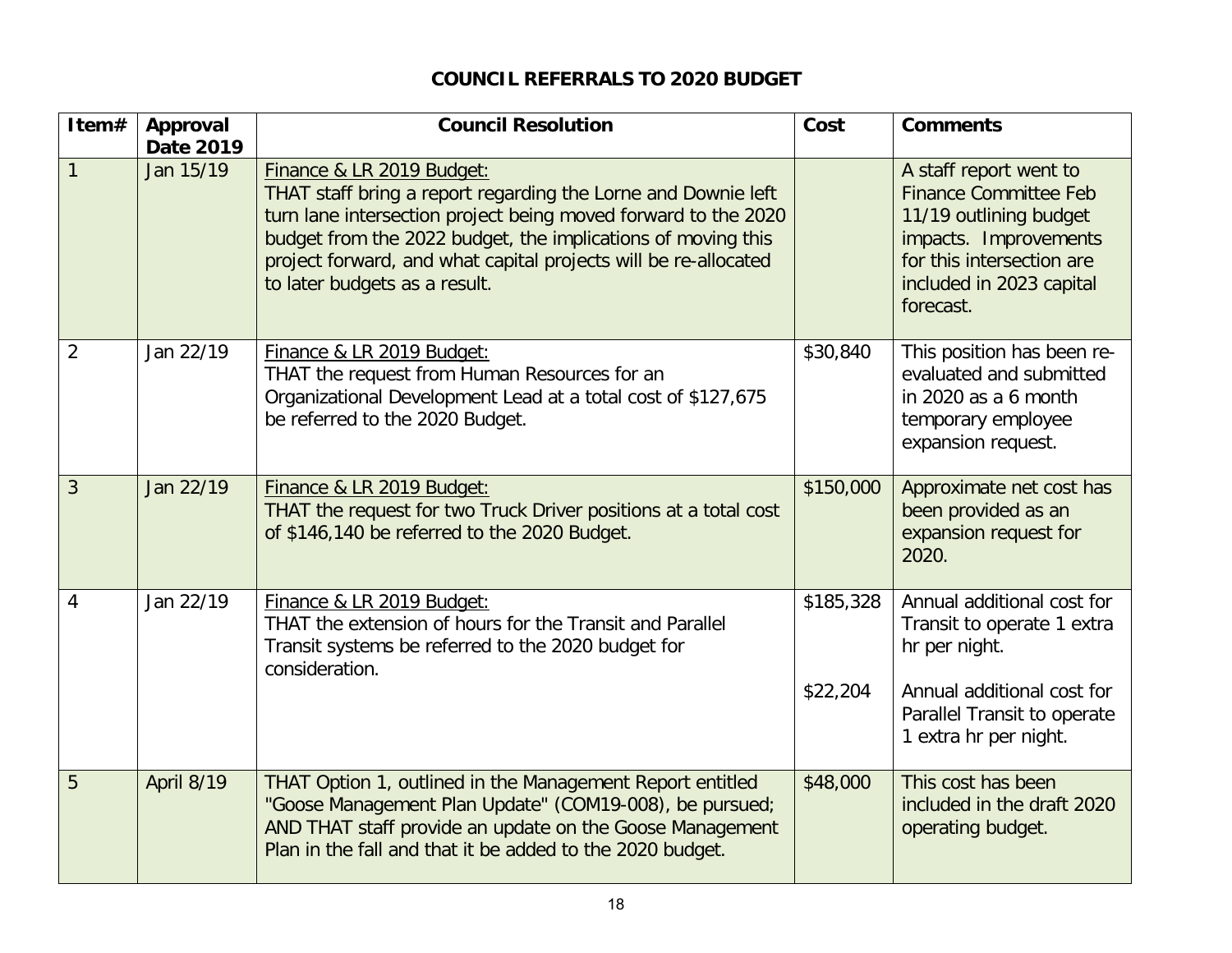#### **COUNCIL REFERRALS TO 2020 BUDGET**

| Item#          | Approval<br>Date 2019 | <b>Council Resolution</b>                                                                                                                                                                                                                                                                                                        | Cost                  | <b>Comments</b>                                                                                                                                                                 |  |
|----------------|-----------------------|----------------------------------------------------------------------------------------------------------------------------------------------------------------------------------------------------------------------------------------------------------------------------------------------------------------------------------|-----------------------|---------------------------------------------------------------------------------------------------------------------------------------------------------------------------------|--|
| $\mathbf{1}$   | Jan 15/19             | Finance & LR 2019 Budget:<br>THAT staff bring a report regarding the Lorne and Downie left<br>turn lane intersection project being moved forward to the 2020<br>budget from the 2022 budget, the implications of moving this<br>project forward, and what capital projects will be re-allocated<br>to later budgets as a result. |                       | A staff report went to<br><b>Finance Committee Feb</b><br>11/19 outlining budget<br>impacts. Improvements<br>for this intersection are<br>included in 2023 capital<br>forecast. |  |
| $\overline{2}$ | Jan 22/19             | Finance & LR 2019 Budget:<br>THAT the request from Human Resources for an<br>Organizational Development Lead at a total cost of \$127,675<br>be referred to the 2020 Budget.                                                                                                                                                     | \$30,840              | This position has been re-<br>evaluated and submitted<br>in 2020 as a 6 month<br>temporary employee<br>expansion request.                                                       |  |
| 3              | Jan 22/19             | Finance & LR 2019 Budget:<br>THAT the request for two Truck Driver positions at a total cost<br>of \$146,140 be referred to the 2020 Budget.                                                                                                                                                                                     | \$150,000             | Approximate net cost has<br>been provided as an<br>expansion request for<br>2020.                                                                                               |  |
| $\overline{4}$ | Jan 22/19             | Finance & LR 2019 Budget:<br>THAT the extension of hours for the Transit and Parallel<br>Transit systems be referred to the 2020 budget for<br>consideration.                                                                                                                                                                    | \$185,328<br>\$22,204 | Annual additional cost for<br>Transit to operate 1 extra<br>hr per night.<br>Annual additional cost for<br>Parallel Transit to operate<br>1 extra hr per night.                 |  |
| 5              | April 8/19            | THAT Option 1, outlined in the Management Report entitled<br>"Goose Management Plan Update" (COM19-008), be pursued;<br>AND THAT staff provide an update on the Goose Management<br>Plan in the fall and that it be added to the 2020 budget.                                                                                    | \$48,000              | This cost has been<br>included in the draft 2020<br>operating budget.                                                                                                           |  |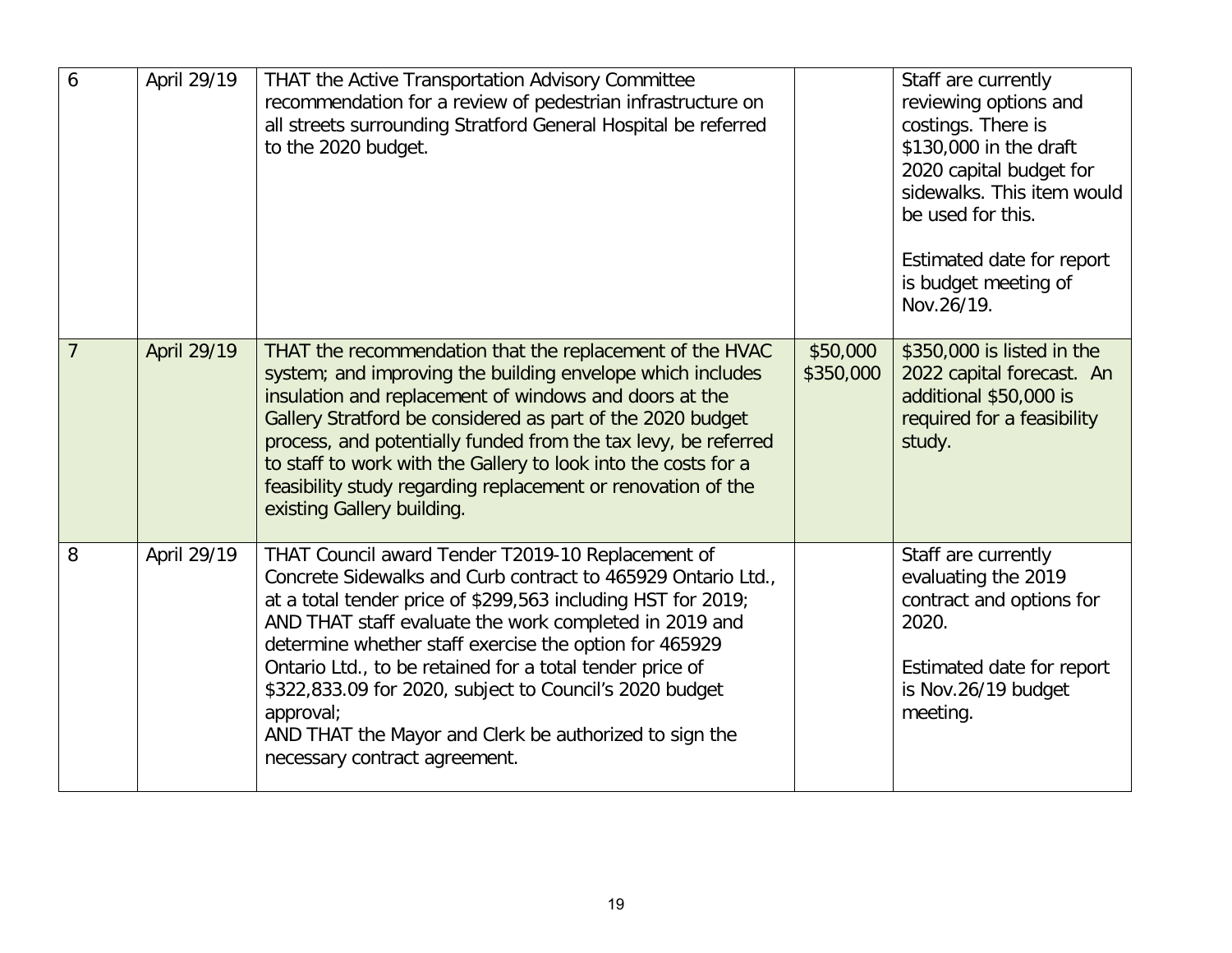| 6              | April 29/19 | THAT the Active Transportation Advisory Committee<br>recommendation for a review of pedestrian infrastructure on<br>all streets surrounding Stratford General Hospital be referred<br>to the 2020 budget.                                                                                                                                                                                                                                                                                                                            |                       | Staff are currently<br>reviewing options and<br>costings. There is<br>\$130,000 in the draft<br>2020 capital budget for<br>sidewalks. This item would<br>be used for this.<br>Estimated date for report<br>is budget meeting of<br>Nov.26/19. |
|----------------|-------------|--------------------------------------------------------------------------------------------------------------------------------------------------------------------------------------------------------------------------------------------------------------------------------------------------------------------------------------------------------------------------------------------------------------------------------------------------------------------------------------------------------------------------------------|-----------------------|-----------------------------------------------------------------------------------------------------------------------------------------------------------------------------------------------------------------------------------------------|
| $\overline{7}$ | April 29/19 | THAT the recommendation that the replacement of the HVAC<br>system; and improving the building envelope which includes<br>insulation and replacement of windows and doors at the<br>Gallery Stratford be considered as part of the 2020 budget<br>process, and potentially funded from the tax levy, be referred<br>to staff to work with the Gallery to look into the costs for a<br>feasibility study regarding replacement or renovation of the<br>existing Gallery building.                                                     | \$50,000<br>\$350,000 | \$350,000 is listed in the<br>2022 capital forecast. An<br>additional \$50,000 is<br>required for a feasibility<br>study.                                                                                                                     |
| 8              | April 29/19 | THAT Council award Tender T2019-10 Replacement of<br>Concrete Sidewalks and Curb contract to 465929 Ontario Ltd.,<br>at a total tender price of \$299,563 including HST for 2019;<br>AND THAT staff evaluate the work completed in 2019 and<br>determine whether staff exercise the option for 465929<br>Ontario Ltd., to be retained for a total tender price of<br>\$322,833.09 for 2020, subject to Council's 2020 budget<br>approval;<br>AND THAT the Mayor and Clerk be authorized to sign the<br>necessary contract agreement. |                       | Staff are currently<br>evaluating the 2019<br>contract and options for<br>2020.<br>Estimated date for report<br>is Nov.26/19 budget<br>meeting.                                                                                               |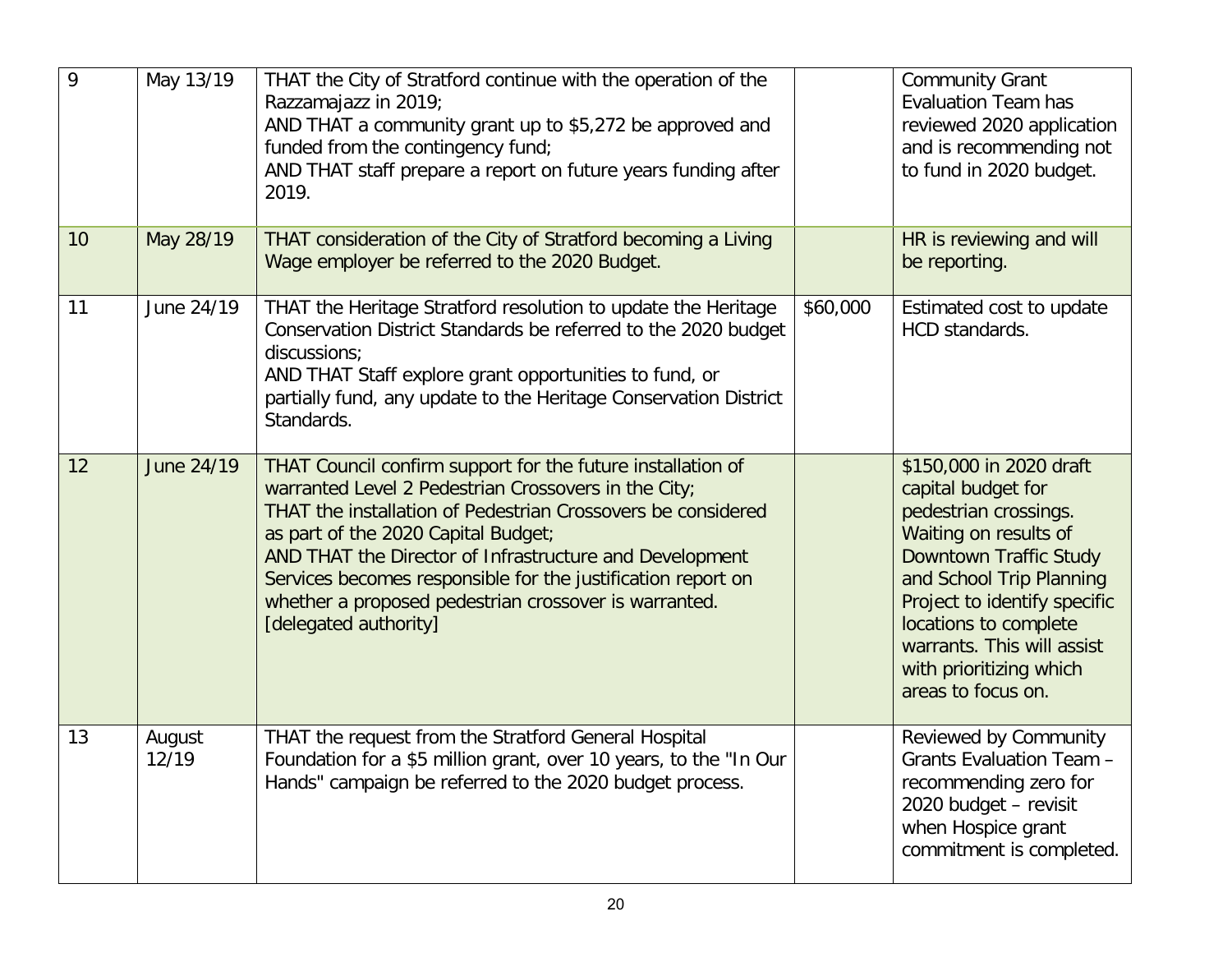| 9  | May 13/19       | THAT the City of Stratford continue with the operation of the<br>Razzamajazz in 2019;<br>AND THAT a community grant up to \$5,272 be approved and<br>funded from the contingency fund;<br>AND THAT staff prepare a report on future years funding after<br>2019.                                                                                                                                                                        |          | <b>Community Grant</b><br><b>Evaluation Team has</b><br>reviewed 2020 application<br>and is recommending not<br>to fund in 2020 budget.                                                                                                                                                       |
|----|-----------------|-----------------------------------------------------------------------------------------------------------------------------------------------------------------------------------------------------------------------------------------------------------------------------------------------------------------------------------------------------------------------------------------------------------------------------------------|----------|-----------------------------------------------------------------------------------------------------------------------------------------------------------------------------------------------------------------------------------------------------------------------------------------------|
| 10 | May 28/19       | THAT consideration of the City of Stratford becoming a Living<br>Wage employer be referred to the 2020 Budget.                                                                                                                                                                                                                                                                                                                          |          | HR is reviewing and will<br>be reporting.                                                                                                                                                                                                                                                     |
| 11 | June 24/19      | THAT the Heritage Stratford resolution to update the Heritage<br>Conservation District Standards be referred to the 2020 budget<br>discussions;<br>AND THAT Staff explore grant opportunities to fund, or<br>partially fund, any update to the Heritage Conservation District<br>Standards.                                                                                                                                             | \$60,000 | Estimated cost to update<br>HCD standards.                                                                                                                                                                                                                                                    |
| 12 | June 24/19      | THAT Council confirm support for the future installation of<br>warranted Level 2 Pedestrian Crossovers in the City;<br>THAT the installation of Pedestrian Crossovers be considered<br>as part of the 2020 Capital Budget;<br>AND THAT the Director of Infrastructure and Development<br>Services becomes responsible for the justification report on<br>whether a proposed pedestrian crossover is warranted.<br>[delegated authority] |          | \$150,000 in 2020 draft<br>capital budget for<br>pedestrian crossings.<br>Waiting on results of<br>Downtown Traffic Study<br>and School Trip Planning<br>Project to identify specific<br>locations to complete<br>warrants. This will assist<br>with prioritizing which<br>areas to focus on. |
| 13 | August<br>12/19 | THAT the request from the Stratford General Hospital<br>Foundation for a \$5 million grant, over 10 years, to the "In Our<br>Hands" campaign be referred to the 2020 budget process.                                                                                                                                                                                                                                                    |          | Reviewed by Community<br>Grants Evaluation Team -<br>recommending zero for<br>2020 budget - revisit<br>when Hospice grant<br>commitment is completed.                                                                                                                                         |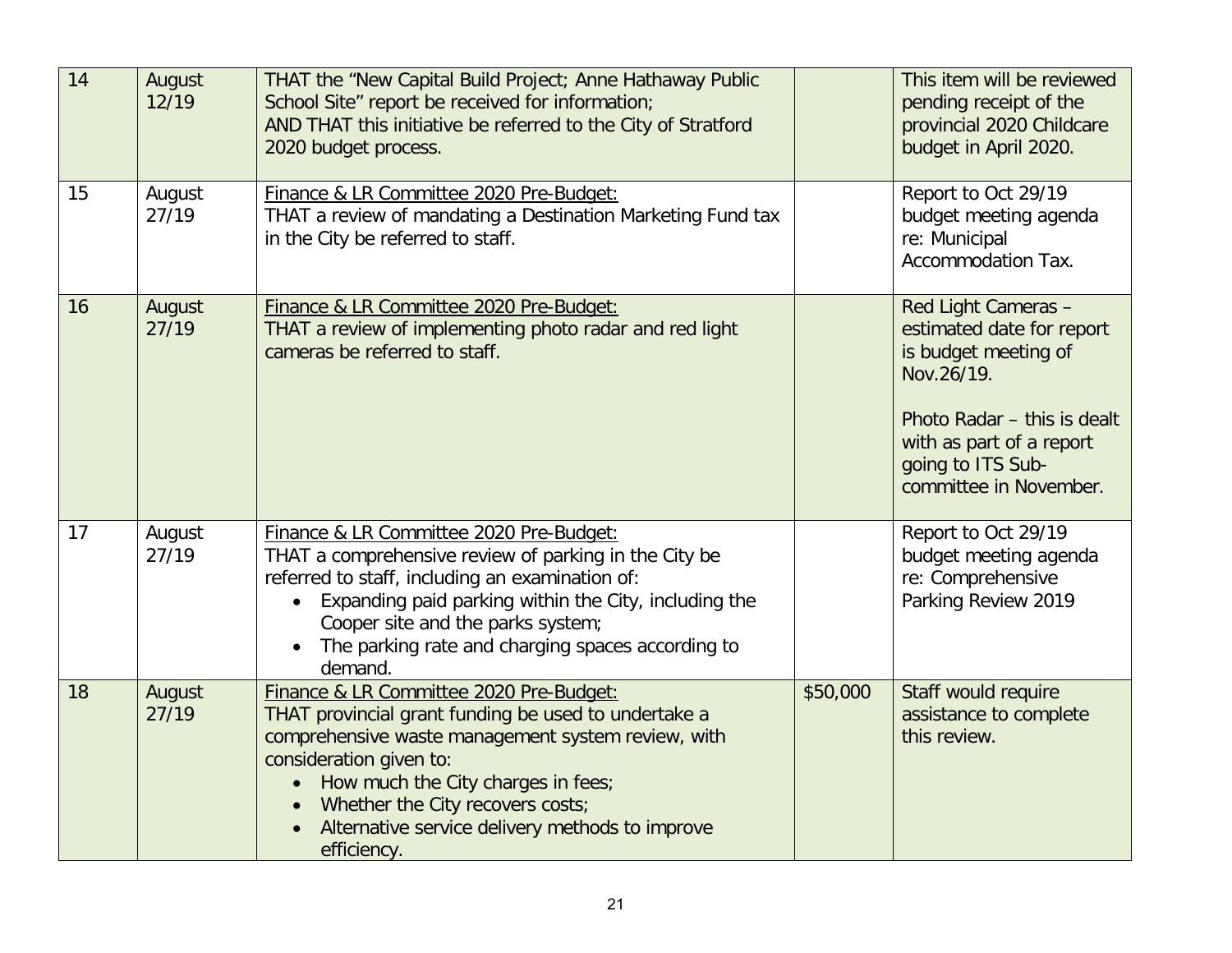| 14 | August<br>12/19 | THAT the "New Capital Build Project; Anne Hathaway Public<br>School Site" report be received for information;<br>AND THAT this initiative be referred to the City of Stratford<br>2020 budget process.                                                                                                                                    |          | This item will be reviewed<br>pending receipt of the<br>provincial 2020 Childcare<br>budget in April 2020.                                                                                       |
|----|-----------------|-------------------------------------------------------------------------------------------------------------------------------------------------------------------------------------------------------------------------------------------------------------------------------------------------------------------------------------------|----------|--------------------------------------------------------------------------------------------------------------------------------------------------------------------------------------------------|
| 15 | August<br>27/19 | Finance & LR Committee 2020 Pre-Budget:<br>THAT a review of mandating a Destination Marketing Fund tax<br>in the City be referred to staff.                                                                                                                                                                                               |          | Report to Oct 29/19<br>budget meeting agenda<br>re: Municipal<br>Accommodation Tax.                                                                                                              |
| 16 | August<br>27/19 | Finance & LR Committee 2020 Pre-Budget:<br>THAT a review of implementing photo radar and red light<br>cameras be referred to staff.                                                                                                                                                                                                       |          | Red Light Cameras -<br>estimated date for report<br>is budget meeting of<br>Nov.26/19.<br>Photo Radar - this is dealt<br>with as part of a report<br>going to ITS Sub-<br>committee in November. |
| 17 | August<br>27/19 | Finance & LR Committee 2020 Pre-Budget:<br>THAT a comprehensive review of parking in the City be<br>referred to staff, including an examination of:<br>Expanding paid parking within the City, including the<br>Cooper site and the parks system;<br>The parking rate and charging spaces according to<br>demand.                         |          | Report to Oct 29/19<br>budget meeting agenda<br>re: Comprehensive<br>Parking Review 2019                                                                                                         |
| 18 | August<br>27/19 | Finance & LR Committee 2020 Pre-Budget:<br>THAT provincial grant funding be used to undertake a<br>comprehensive waste management system review, with<br>consideration given to:<br>How much the City charges in fees;<br>$\bullet$<br>Whether the City recovers costs;<br>Alternative service delivery methods to improve<br>efficiency. | \$50,000 | Staff would require<br>assistance to complete<br>this review.                                                                                                                                    |